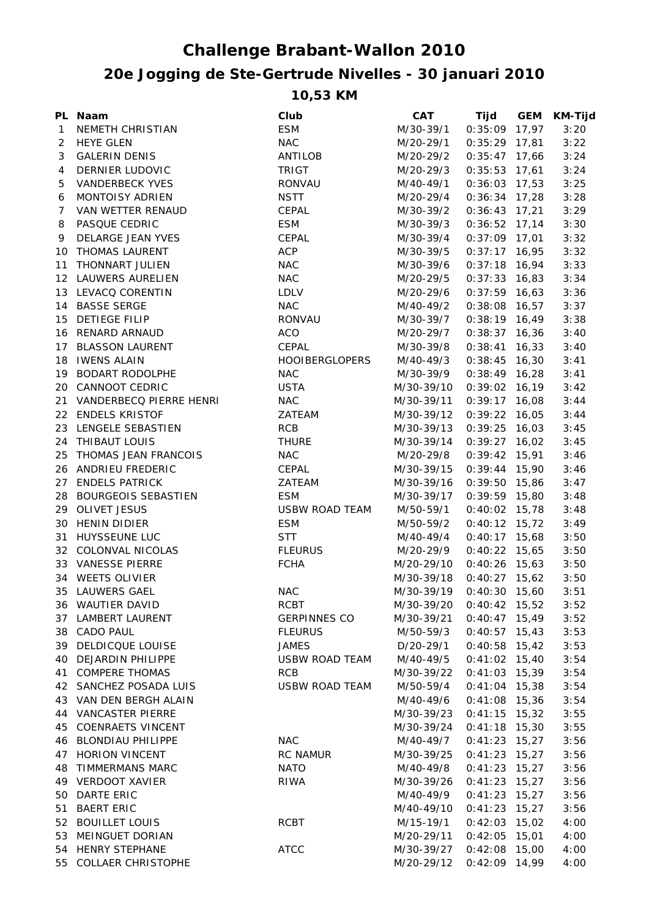## **20e Jogging de Ste-Gertrude Nivelles - 30 januari 2010 Challenge Brabant-Wallon 2010**

**10,53 KM**

|                | PL Naam                    | Club                  | CAT        | Tijd            | <b>GEM</b> | <b>KM-Tijd</b> |
|----------------|----------------------------|-----------------------|------------|-----------------|------------|----------------|
| $\mathbf{1}$   | NEMETH CHRISTIAN           | <b>ESM</b>            | M/30-39/1  | $0:35:09$ 17,97 |            | 3:20           |
| $\overline{2}$ | <b>HEYE GLEN</b>           | <b>NAC</b>            | M/20-29/1  | $0:35:29$ 17,81 |            | 3:22           |
| 3              | <b>GALERIN DENIS</b>       | ANTILOB               | M/20-29/2  | $0:35:47$ 17,66 |            | 3:24           |
| 4              | DERNIER LUDOVIC            | <b>TRIGT</b>          | M/20-29/3  | $0:35:53$ 17,61 |            | 3:24           |
| 5              | <b>VANDERBECK YVES</b>     | <b>RONVAU</b>         | M/40-49/1  | $0:36:03$ 17,53 |            | 3:25           |
| 6              | <b>MONTOISY ADRIEN</b>     | <b>NSTT</b>           | M/20-29/4  | $0:36:34$ 17,28 |            | 3:28           |
| 7              | VAN WETTER RENAUD          | CEPAL                 | M/30-39/2  | $0:36:43$ 17,21 |            | 3:29           |
| 8              | PASQUE CEDRIC              | <b>ESM</b>            | M/30-39/3  | $0:36:52$ 17,14 |            | 3:30           |
| 9              | DELARGE JEAN YVES          | CEPAL                 | M/30-39/4  | $0:37:09$ 17,01 |            | 3:32           |
|                | 10 THOMAS LAURENT          | <b>ACP</b>            | M/30-39/5  | $0:37:17$ 16,95 |            | 3:32           |
|                | 11 THONNART JULIEN         | <b>NAC</b>            | M/30-39/6  | $0:37:18$ 16,94 |            | 3:33           |
|                | 12 LAUWERS AURELIEN        | <b>NAC</b>            | M/20-29/5  | $0:37:33$ 16,83 |            | 3:34           |
|                | 13 LEVACQ CORENTIN         | LDLV                  | M/20-29/6  | $0:37:59$ 16,63 |            | 3:36           |
|                | 14 BASSE SERGE             | <b>NAC</b>            | M/40-49/2  | $0:38:08$ 16,57 |            | 3:37           |
| 15             | <b>DETIEGE FILIP</b>       | RONVAU                | M/30-39/7  | $0:38:19$ 16,49 |            | 3:38           |
|                | 16 RENARD ARNAUD           | <b>ACO</b>            | M/20-29/7  | $0:38:37$ 16,36 |            | 3:40           |
| 17             | <b>BLASSON LAURENT</b>     | CEPAL                 | M/30-39/8  | $0:38:41$ 16,33 |            | 3:40           |
| 18             | IWENS ALAIN                | <b>HOOIBERGLOPERS</b> | M/40-49/3  | $0:38:45$ 16,30 |            | 3:41           |
|                | 19 BODART RODOLPHE         | <b>NAC</b>            | M/30-39/9  | $0:38:49$ 16,28 |            | 3:41           |
|                | 20 CANNOOT CEDRIC          | <b>USTA</b>           | M/30-39/10 | $0:39:02$ 16,19 |            | 3:42           |
|                | 21 VANDERBECQ PIERRE HENRI | <b>NAC</b>            | M/30-39/11 | $0:39:17$ 16,08 |            | 3:44           |
|                | 22 ENDELS KRISTOF          | ZATEAM                | M/30-39/12 | $0:39:22$ 16,05 |            | 3:44           |
|                | 23 LENGELE SEBASTIEN       | <b>RCB</b>            | M/30-39/13 | $0:39:25$ 16,03 |            | 3:45           |
|                | 24 THIBAUT LOUIS           | <b>THURE</b>          | M/30-39/14 | $0:39:27$ 16,02 |            | 3:45           |
|                | 25 THOMAS JEAN FRANCOIS    | <b>NAC</b>            | M/20-29/8  | $0:39:42$ 15,91 |            | 3:46           |
|                | 26 ANDRIEU FREDERIC        | CEPAL                 | M/30-39/15 | $0:39:44$ 15,90 |            | 3:46           |
|                | 27 ENDELS PATRICK          | ZATEAM                | M/30-39/16 | $0:39:50$ 15,86 |            | 3:47           |
|                | 28 BOURGEOIS SEBASTIEN     | <b>ESM</b>            | M/30-39/17 | $0:39:59$ 15,80 |            | 3:48           |
|                | 29 OLIVET JESUS            | <b>USBW ROAD TEAM</b> | M/50-59/1  | $0:40:02$ 15,78 |            | 3:48           |
|                | 30 HENIN DIDIER            | <b>ESM</b>            | M/50-59/2  | $0:40:12$ 15,72 |            | 3:49           |
|                | 31 HUYSSEUNE LUC           | <b>STT</b>            | M/40-49/4  | $0:40:17$ 15,68 |            | 3:50           |
|                | 32 COLONVAL NICOLAS        | <b>FLEURUS</b>        | M/20-29/9  | $0:40:22$ 15,65 |            | 3:50           |
|                | 33 VANESSE PIERRE          | <b>FCHA</b>           | M/20-29/10 | $0:40:26$ 15,63 |            | 3:50           |
|                | 34 WEETS OLIVIER           |                       | M/30-39/18 | $0:40:27$ 15,62 |            | 3:50           |
|                | 35 LAUWERS GAEL            | <b>NAC</b>            | M/30-39/19 | $0:40:30$ 15,60 |            | 3:51           |
|                | 36 WAUTIER DAVID           | RCBT                  | M/30-39/20 | $0:40:42$ 15,52 |            | 3:52           |
|                | 37 LAMBERT LAURENT         | <b>GERPINNES CO</b>   | M/30-39/21 | $0:40:47$ 15,49 |            | 3:52           |
|                | 38 CADO PAUL               | <b>FLEURUS</b>        | M/50-59/3  | $0:40:57$ 15,43 |            | 3:53           |
| 39             | DELDICQUE LOUISE           | <b>JAMES</b>          | D/20-29/1  | $0:40:58$ 15,42 |            | 3:53           |
| 40             | <b>DEJARDIN PHILIPPE</b>   | <b>USBW ROAD TEAM</b> | M/40-49/5  | $0:41:02$ 15,40 |            | 3:54           |
| 41             | <b>COMPERE THOMAS</b>      | <b>RCB</b>            | M/30-39/22 | $0:41:03$ 15,39 |            | 3:54           |
| 42             | SANCHEZ POSADA LUIS        | <b>USBW ROAD TEAM</b> | M/50-59/4  | $0:41:04$ 15,38 |            | 3:54           |
|                |                            |                       |            |                 |            |                |
| 43             | VAN DEN BERGH ALAIN        |                       | M/40-49/6  | $0:41:08$ 15,36 |            | 3:54           |
| 44             | <b>VANCASTER PIERRE</b>    |                       | M/30-39/23 | $0:41:15$ 15,32 |            | 3:55           |
| 45             | <b>COENRAETS VINCENT</b>   |                       | M/30-39/24 | $0:41:18$ 15,30 |            | 3:55           |
| 46             | <b>BLONDIAU PHILIPPE</b>   | <b>NAC</b>            | M/40-49/7  | $0:41:23$ 15,27 |            | 3:56           |
| 47             | <b>HORION VINCENT</b>      | RC NAMUR              | M/30-39/25 | $0:41:23$ 15,27 |            | 3:56           |
| 48             | <b>TIMMERMANS MARC</b>     | <b>NATO</b>           | M/40-49/8  | $0:41:23$ 15,27 |            | 3:56           |
|                | 49 VERDOOT XAVIER          | RIWA                  | M/30-39/26 | $0:41:23$ 15,27 |            | 3:56           |
| 50             | DARTE ERIC                 |                       | M/40-49/9  | $0:41:23$ 15,27 |            | 3:56           |
| 51             | <b>BAERT ERIC</b>          |                       | M/40-49/10 | $0:41:23$ 15,27 |            | 3:56           |
|                | 52 BOUILLET LOUIS          | <b>RCBT</b>           | M/15-19/1  | $0:42:03$ 15,02 |            | 4:00           |
| 53             | MEINGUET DORIAN            |                       | M/20-29/11 | $0:42:05$ 15,01 |            | 4:00           |
| 54             | <b>HENRY STEPHANE</b>      | <b>ATCC</b>           | M/30-39/27 | $0:42:08$ 15,00 |            | 4:00           |
| 55             | <b>COLLAER CHRISTOPHE</b>  |                       | M/20-29/12 | $0:42:09$ 14,99 |            | 4:00           |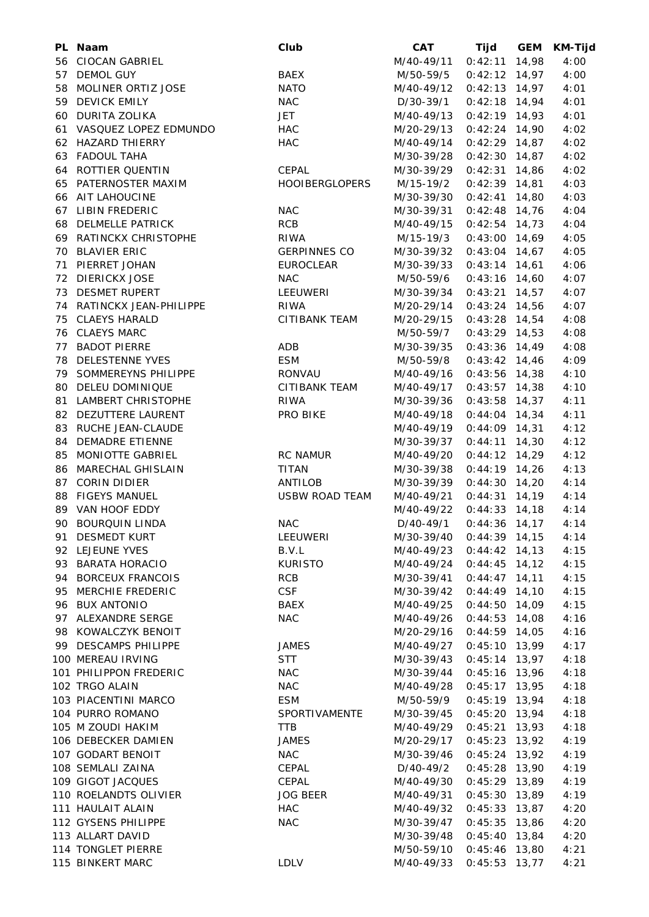|    | PL Naam                   | Club                  | <b>CAT</b> | Tijd            | <b>GEM</b> | <b>KM-Tijd</b> |
|----|---------------------------|-----------------------|------------|-----------------|------------|----------------|
|    | 56 CIOCAN GABRIEL         |                       | M/40-49/11 | $0:42:11$ 14,98 |            | 4:00           |
|    | 57 DEMOL GUY              | <b>BAEX</b>           | M/50-59/5  | $0:42:12$ 14,97 |            | 4:00           |
|    | 58 MOLINER ORTIZ JOSE     | <b>NATO</b>           | M/40-49/12 | $0:42:13$ 14,97 |            | 4:01           |
|    | 59 DEVICK EMILY           | <b>NAC</b>            | D/30-39/1  | $0:42:18$ 14,94 |            | 4:01           |
|    | 60 DURITA ZOLIKA          | JET                   | M/40-49/13 | $0:42:19$ 14,93 |            | 4:01           |
|    | 61 VASQUEZ LOPEZ EDMUNDO  | <b>HAC</b>            | M/20-29/13 | $0:42:24$ 14,90 |            | 4:02           |
|    | 62 HAZARD THIERRY         | <b>HAC</b>            | M/40-49/14 | $0:42:29$ 14,87 |            | 4:02           |
|    | 63 FADOUL TAHA            |                       | M/30-39/28 | $0:42:30$ 14,87 |            | 4:02           |
|    | 64 ROTTIER QUENTIN        | CEPAL                 | M/30-39/29 | $0:42:31$ 14,86 |            | 4:02           |
|    | 65 PATERNOSTER MAXIM      | <b>HOOIBERGLOPERS</b> | M/15-19/2  | $0:42:39$ 14,81 |            | 4:03           |
|    | 66 AIT LAHOUCINE          |                       | M/30-39/30 | $0:42:41$ 14,80 |            | 4:03           |
|    | 67 LIBIN FREDERIC         | <b>NAC</b>            | M/30-39/31 | $0:42:48$ 14,76 |            | 4:04           |
|    | 68 DELMELLE PATRICK       | <b>RCB</b>            | M/40-49/15 | $0:42:54$ 14,73 |            | 4:04           |
|    | 69 RATINCKX CHRISTOPHE    | <b>RIWA</b>           | M/15-19/3  | $0:43:00$ 14,69 |            | 4:05           |
|    | 70 BLAVIER ERIC           | <b>GERPINNES CO</b>   | M/30-39/32 | $0:43:04$ 14,67 |            | 4:05           |
|    | 71 PIERRET JOHAN          | <b>EUROCLEAR</b>      | M/30-39/33 | $0:43:14$ 14,61 |            | 4:06           |
| 72 | <b>DIERICKX JOSE</b>      | <b>NAC</b>            | M/50-59/6  | $0:43:16$ 14,60 |            | 4:07           |
|    | 73 DESMET RUPERT          | LEEUWERI              | M/30-39/34 | $0:43:21$ 14,57 |            | 4:07           |
|    |                           |                       |            |                 |            |                |
|    | 74 RATINCKX JEAN-PHILIPPE | <b>RIWA</b>           | M/20-29/14 | $0:43:24$ 14,56 |            | 4:07           |
|    | 75 CLAEYS HARALD          | CITIBANK TEAM         | M/20-29/15 | $0:43:28$ 14,54 |            | 4:08           |
|    | 76 CLAEYS MARC            |                       | M/50-59/7  | $0:43:29$ 14,53 |            | 4:08           |
|    | 77 BADOT PIERRE           | ADB                   | M/30-39/35 | $0:43:36$ 14,49 |            | 4:08           |
|    | 78 DELESTENNE YVES        | <b>ESM</b>            | M/50-59/8  | $0:43:42$ 14,46 |            | 4:09           |
|    | 79 SOMMEREYNS PHILIPPE    | RONVAU                | M/40-49/16 | $0:43:56$ 14,38 |            | 4:10           |
|    | 80 DELEU DOMINIQUE        | CITIBANK TEAM         | M/40-49/17 | $0:43:57$ 14,38 |            | 4:10           |
|    | 81 LAMBERT CHRISTOPHE     | <b>RIWA</b>           | M/30-39/36 | $0:43:58$ 14,37 |            | 4:11           |
|    | 82 DEZUTTERE LAURENT      | PRO BIKE              | M/40-49/18 | $0:44:04$ 14,34 |            | 4:11           |
|    | 83 RUCHE JEAN-CLAUDE      |                       | M/40-49/19 | $0:44:09$ 14,31 |            | 4:12           |
|    | 84 DEMADRE ETIENNE        |                       | M/30-39/37 | $0:44:11$ 14,30 |            | 4:12           |
|    | 85 MONIOTTE GABRIEL       | <b>RC NAMUR</b>       | M/40-49/20 | $0:44:12$ 14,29 |            | 4:12           |
|    | 86 MARECHAL GHISLAIN      | <b>TITAN</b>          | M/30-39/38 | $0:44:19$ 14,26 |            | 4:13           |
|    | 87 CORIN DIDIER           | ANTILOB               | M/30-39/39 | $0:44:30$ 14,20 |            | 4:14           |
|    | 88 FIGEYS MANUEL          | <b>USBW ROAD TEAM</b> | M/40-49/21 | $0:44:31$ 14,19 |            | 4:14           |
|    | 89 VAN HOOF EDDY          |                       | M/40-49/22 | $0:44:33$ 14,18 |            | 4:14           |
|    | 90 BOURQUIN LINDA         | <b>NAC</b>            | D/40-49/1  | $0:44:36$ 14,17 |            | 4:14           |
| 91 | <b>DESMEDT KURT</b>       | LEEUWERI              | M/30-39/40 | $0:44:39$ 14,15 |            | 4:14           |
|    | 92 LEJEUNE YVES           | B.V.L                 | M/40-49/23 | $0:44:42$ 14,13 |            | 4:15           |
|    | 93 BARATA HORACIO         | <b>KURISTO</b>        | M/40-49/24 | $0:44:45$ 14,12 |            | 4:15           |
|    | 94 BORCEUX FRANCOIS       | <b>RCB</b>            | M/30-39/41 | $0:44:47$ 14,11 |            | 4:15           |
|    | 95 MERCHIE FREDERIC       | <b>CSF</b>            | M/30-39/42 | $0:44:49$ 14,10 |            | 4:15           |
|    | 96 BUX ANTONIO            | <b>BAEX</b>           | M/40-49/25 | $0:44:50$ 14,09 |            | 4:15           |
|    | 97 ALEXANDRE SERGE        | <b>NAC</b>            | M/40-49/26 | $0:44:53$ 14,08 |            | 4:16           |
|    | 98 KOWALCZYK BENOIT       |                       | M/20-29/16 | $0:44:59$ 14,05 |            | 4:16           |
|    | 99 DESCAMPS PHILIPPE      | <b>JAMES</b>          | M/40-49/27 | $0:45:10$ 13,99 |            | 4:17           |
|    | 100 MEREAU IRVING         | <b>STT</b>            | M/30-39/43 |                 |            |                |
|    |                           |                       |            | $0:45:14$ 13,97 |            | 4:18           |
|    | 101 PHILIPPON FREDERIC    | <b>NAC</b>            | M/30-39/44 | $0:45:16$ 13,96 |            | 4:18           |
|    | 102 TRGO ALAIN            | <b>NAC</b>            | M/40-49/28 | $0:45:17$ 13,95 |            | 4:18           |
|    | 103 PIACENTINI MARCO      | <b>ESM</b>            | M/50-59/9  | $0:45:19$ 13,94 |            | 4:18           |
|    | 104 PURRO ROMANO          | SPORTIVAMENTE         | M/30-39/45 | $0:45:20$ 13,94 |            | 4:18           |
|    | 105 M ZOUDI HAKIM         | TTB                   | M/40-49/29 | $0:45:21$ 13,93 |            | 4:18           |
|    | 106 DEBECKER DAMIEN       | <b>JAMES</b>          | M/20-29/17 | $0:45:23$ 13,92 |            | 4:19           |
|    | 107 GODART BENOIT         | <b>NAC</b>            | M/30-39/46 | $0:45:24$ 13,92 |            | 4:19           |
|    | 108 SEMLALI ZAINA         | CEPAL                 | D/40-49/2  | $0:45:28$ 13,90 |            | 4:19           |
|    | 109 GIGOT JACQUES         | CEPAL                 | M/40-49/30 | $0:45:29$ 13,89 |            | 4:19           |
|    | 110 ROELANDTS OLIVIER     | <b>JOG BEER</b>       | M/40-49/31 | $0:45:30$ 13,89 |            | 4:19           |
|    | 111 HAULAIT ALAIN         | <b>HAC</b>            | M/40-49/32 | 0:45:33         | 13,87      | 4:20           |
|    | 112 GYSENS PHILIPPE       | <b>NAC</b>            | M/30-39/47 | $0:45:35$ 13,86 |            | 4:20           |
|    | 113 ALLART DAVID          |                       | M/30-39/48 | 0:45:40         | 13,84      | 4:20           |
|    | 114 TONGLET PIERRE        |                       | M/50-59/10 | $0:45:46$ 13,80 |            | 4:21           |
|    | 115 BINKERT MARC          | <b>LDLV</b>           | M/40-49/33 | $0:45:53$ 13,77 |            | 4:21           |
|    |                           |                       |            |                 |            |                |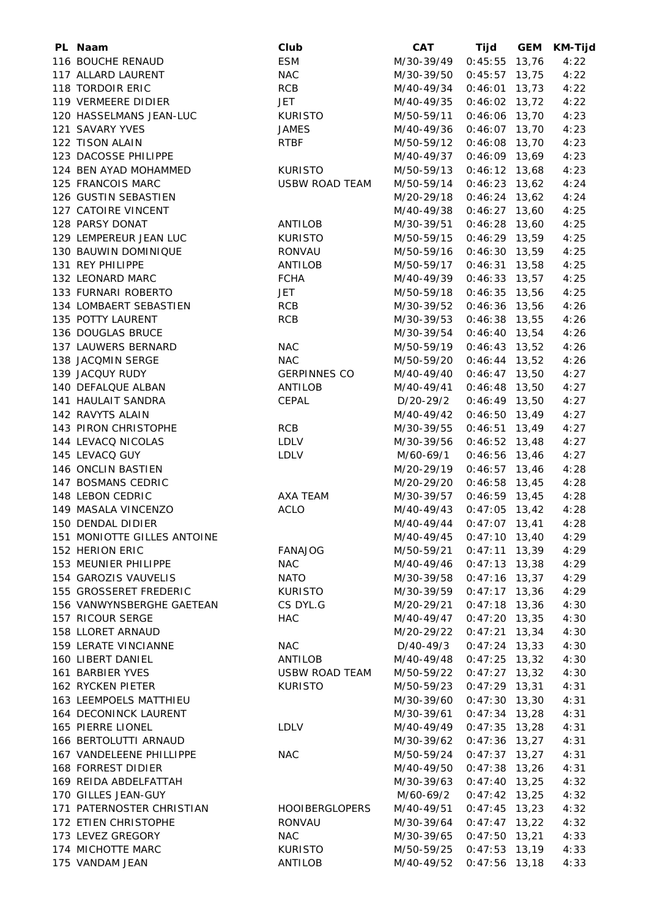| PL Naam                     | Club                  | <b>CAT</b> | Tijd            | <b>GEM</b> | <b>KM-Tijd</b> |
|-----------------------------|-----------------------|------------|-----------------|------------|----------------|
| 116 BOUCHE RENAUD           | <b>ESM</b>            | M/30-39/49 | $0:45:55$ 13,76 |            | 4:22           |
| 117 ALLARD LAURENT          | <b>NAC</b>            | M/30-39/50 | $0:45:57$ 13,75 |            | 4:22           |
| 118 TORDOIR ERIC            | <b>RCB</b>            | M/40-49/34 | $0:46:01$ 13,73 |            | 4:22           |
| 119 VERMEERE DIDIER         | <b>JET</b>            | M/40-49/35 | $0:46:02$ 13,72 |            | 4:22           |
| 120 HASSELMANS JEAN-LUC     | <b>KURISTO</b>        | M/50-59/11 | $0:46:06$ 13,70 |            | 4:23           |
| 121 SAVARY YVES             | <b>JAMES</b>          | M/40-49/36 | $0:46:07$ 13,70 |            | 4:23           |
| 122 TISON ALAIN             | <b>RTBF</b>           | M/50-59/12 | $0:46:08$ 13,70 |            | 4:23           |
| 123 DACOSSE PHILIPPE        |                       | M/40-49/37 | $0:46:09$ 13,69 |            | 4:23           |
| 124 BEN AYAD MOHAMMED       | <b>KURISTO</b>        | M/50-59/13 | $0:46:12$ 13,68 |            | 4:23           |
| 125 FRANCOIS MARC           | <b>USBW ROAD TEAM</b> | M/50-59/14 | $0:46:23$ 13,62 |            | 4:24           |
| 126 GUSTIN SEBASTIEN        |                       | M/20-29/18 | $0:46:24$ 13,62 |            | 4:24           |
| 127 CATOIRE VINCENT         |                       | M/40-49/38 | $0:46:27$ 13,60 |            | 4:25           |
| 128 PARSY DONAT             | ANTILOB               | M/30-39/51 | $0:46:28$ 13,60 |            | 4:25           |
| 129 LEMPEREUR JEAN LUC      | <b>KURISTO</b>        | M/50-59/15 | $0:46:29$ 13,59 |            | 4:25           |
| 130 BAUWIN DOMINIQUE        | RONVAU                | M/50-59/16 | $0:46:30$ 13,59 |            | 4:25           |
| 131 REY PHILIPPE            | ANTILOB               | M/50-59/17 | $0:46:31$ 13,58 |            | 4:25           |
| 132 LEONARD MARC            | <b>FCHA</b>           | M/40-49/39 | $0:46:33$ 13,57 |            | 4:25           |
| 133 FURNARI ROBERTO         |                       |            |                 |            |                |
|                             | JET                   | M/50-59/18 | $0:46:35$ 13,56 |            | 4:25           |
| 134 LOMBAERT SEBASTIEN      | RCB                   | M/30-39/52 | $0:46:36$ 13,56 |            | 4:26           |
| 135 POTTY LAURENT           | <b>RCB</b>            | M/30-39/53 | $0:46:38$ 13,55 |            | 4:26           |
| 136 DOUGLAS BRUCE           |                       | M/30-39/54 | $0:46:40$ 13,54 |            | 4:26           |
| 137 LAUWERS BERNARD         | <b>NAC</b>            | M/50-59/19 | $0:46:43$ 13,52 |            | 4:26           |
| 138 JACQMIN SERGE           | <b>NAC</b>            | M/50-59/20 | $0:46:44$ 13,52 |            | 4:26           |
| 139 JACQUY RUDY             | <b>GERPINNES CO</b>   | M/40-49/40 | $0:46:47$ 13,50 |            | 4:27           |
| 140 DEFALQUE ALBAN          | ANTILOB               | M/40-49/41 | $0:46:48$ 13,50 |            | 4:27           |
| 141 HAULAIT SANDRA          | CEPAL                 | D/20-29/2  | $0:46:49$ 13,50 |            | 4:27           |
| 142 RAVYTS ALAIN            |                       | M/40-49/42 | $0:46:50$ 13,49 |            | 4:27           |
| 143 PIRON CHRISTOPHE        | RCB                   | M/30-39/55 | $0:46:51$ 13,49 |            | 4:27           |
| 144 LEVACQ NICOLAS          | LDLV                  | M/30-39/56 | $0:46:52$ 13,48 |            | 4:27           |
| 145 LEVACQ GUY              | LDLV                  | M/60-69/1  | $0:46:56$ 13,46 |            | 4:27           |
| 146 ONCLIN BASTIEN          |                       | M/20-29/19 | $0:46:57$ 13,46 |            | 4:28           |
| 147 BOSMANS CEDRIC          |                       | M/20-29/20 | $0:46:58$ 13,45 |            | 4:28           |
| 148 LEBON CEDRIC            | AXA TEAM              | M/30-39/57 | $0:46:59$ 13,45 |            | 4:28           |
| 149 MASALA VINCENZO         | <b>ACLO</b>           | M/40-49/43 | $0:47:05$ 13,42 |            | 4:28           |
| 150 DENDAL DIDIER           |                       | M/40-49/44 | $0:47:07$ 13,41 |            | 4:28           |
| 151 MONIOTTE GILLES ANTOINE |                       | M/40-49/45 | $0:47:10$ 13,40 |            | 4:29           |
| 152 HERION ERIC             | <b>FANAJOG</b>        | M/50-59/21 | $0:47:11$ 13,39 |            | 4:29           |
| 153 MEUNIER PHILIPPE        | <b>NAC</b>            | M/40-49/46 | $0:47:13$ 13,38 |            | 4:29           |
| 154 GAROZIS VAUVELIS        | <b>NATO</b>           | M/30-39/58 | $0:47:16$ 13,37 |            | 4:29           |
| 155 GROSSERET FREDERIC      | <b>KURISTO</b>        | M/30-39/59 | $0:47:17$ 13,36 |            | 4:29           |
| 156 VANWYNSBERGHE GAETEAN   | CS DYL.G              | M/20-29/21 | $0:47:18$ 13,36 |            | 4:30           |
| 157 RICOUR SERGE            | <b>HAC</b>            | M/40-49/47 | $0:47:20$ 13,35 |            | 4:30           |
| 158 LLORET ARNAUD           |                       | M/20-29/22 | $0:47:21$ 13,34 |            | 4:30           |
| 159 LERATE VINCIANNE        | <b>NAC</b>            | D/40-49/3  | $0:47:24$ 13,33 |            | 4:30           |
| 160 LIBERT DANIEL           | ANTILOB               | M/40-49/48 | $0:47:25$ 13,32 |            | 4:30           |
| 161 BARBIER YVES            | <b>USBW ROAD TEAM</b> | M/50-59/22 | $0:47:27$ 13,32 |            | 4:30           |
| 162 RYCKEN PIETER           | <b>KURISTO</b>        | M/50-59/23 | $0:47:29$ 13,31 |            | 4:31           |
| 163 LEEMPOELS MATTHIEU      |                       | M/30-39/60 | $0:47:30$ 13,30 |            | 4:31           |
| 164 DECONINCK LAURENT       |                       | M/30-39/61 | $0:47:34$ 13,28 |            | 4:31           |
| 165 PIERRE LIONEL           | LDLV                  | M/40-49/49 | $0:47:35$ 13,28 |            | 4:31           |
| 166 BERTOLUTTI ARNAUD       |                       |            |                 |            |                |
|                             |                       | M/30-39/62 | $0:47:36$ 13,27 |            | 4:31           |
| 167 VANDELEENE PHILLIPPE    | <b>NAC</b>            | M/50-59/24 | $0:47:37$ 13,27 |            | 4:31           |
| <b>168 FORREST DIDIER</b>   |                       | M/40-49/50 | $0:47:38$ 13,26 |            | 4:31           |
| 169 REIDA ABDELFATTAH       |                       | M/30-39/63 | $0:47:40$ 13,25 |            | 4:32           |
| 170 GILLES JEAN-GUY         |                       | M/60-69/2  | $0:47:42$ 13,25 |            | 4:32           |
| 171 PATERNOSTER CHRISTIAN   | <b>HOOIBERGLOPERS</b> | M/40-49/51 | $0:47:45$ 13,23 |            | 4:32           |
| 172 ETIEN CHRISTOPHE        | <b>RONVAU</b>         | M/30-39/64 | $0:47:47$ 13,22 |            | 4:32           |
| 173 LEVEZ GREGORY           | <b>NAC</b>            | M/30-39/65 | $0:47:50$ 13,21 |            | 4:33           |
| 174 MICHOTTE MARC           | <b>KURISTO</b>        | M/50-59/25 | $0:47:53$ 13,19 |            | 4:33           |
| 175 VANDAM JEAN             | ANTILOB               | M/40-49/52 | $0:47:56$ 13,18 |            | 4:33           |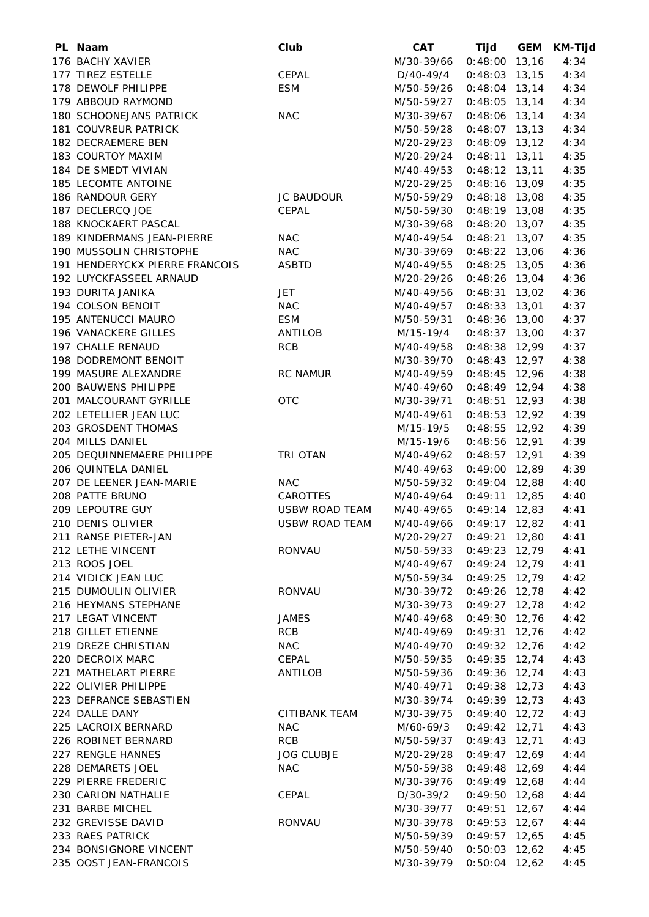| PL Naam                        | Club                  | <b>CAT</b>               | Tijd            | <b>GEM</b> | <b>KM-Tijd</b> |
|--------------------------------|-----------------------|--------------------------|-----------------|------------|----------------|
| 176 BACHY XAVIER               |                       | M/30-39/66               | $0:48:00$ 13,16 |            | 4:34           |
| 177 TIREZ ESTELLE              | CEPAL                 | D/40-49/4                | $0:48:03$ 13,15 |            | 4:34           |
| 178 DEWOLF PHILIPPE            | <b>ESM</b>            | M/50-59/26               | $0:48:04$ 13,14 |            | 4:34           |
| 179 ABBOUD RAYMOND             |                       | M/50-59/27               | $0:48:05$ 13,14 |            | 4:34           |
| 180 SCHOONEJANS PATRICK        | <b>NAC</b>            | M/30-39/67               | $0:48:06$ 13,14 |            | 4:34           |
| 181 COUVREUR PATRICK           |                       | M/50-59/28               | $0:48:07$ 13,13 |            | 4:34           |
| 182 DECRAEMERE BEN             |                       | M/20-29/23               | $0:48:09$ 13,12 |            | 4:34           |
| 183 COURTOY MAXIM              |                       | M/20-29/24               | $0:48:11$ 13,11 |            | 4:35           |
| 184 DE SMEDT VIVIAN            |                       | M/40-49/53               | $0:48:12$ 13,11 |            | 4:35           |
| 185 LECOMTE ANTOINE            |                       | M/20-29/25               | $0:48:16$ 13,09 |            | 4:35           |
| 186 RANDOUR GERY               | <b>JC BAUDOUR</b>     | M/50-59/29               | $0:48:18$ 13,08 |            | 4:35           |
| 187 DECLERCQ JOE               | CEPAL                 | M/50-59/30               | $0:48:19$ 13,08 |            | 4:35           |
| 188 KNOCKAERT PASCAL           |                       | M/30-39/68               | $0:48:20$ 13,07 |            | 4:35           |
| 189 KINDERMANS JEAN-PIERRE     | <b>NAC</b>            | M/40-49/54               | $0:48:21$ 13,07 |            | 4:35           |
| 190 MUSSOLIN CHRISTOPHE        | <b>NAC</b>            | M/30-39/69               | $0:48:22$ 13,06 |            | 4:36           |
| 191 HENDERYCKX PIERRE FRANCOIS | <b>ASBTD</b>          | M/40-49/55               | $0:48:25$ 13,05 |            | 4:36           |
| 192 LUYCKFASSEEL ARNAUD        |                       | M/20-29/26               | $0:48:26$ 13,04 |            | 4:36           |
| 193 DURITA JANIKA              | <b>JET</b>            | M/40-49/56               | $0:48:31$ 13,02 |            | 4:36           |
| 194 COLSON BENOIT              | <b>NAC</b>            | M/40-49/57               | $0:48:33$ 13,01 |            | 4:37           |
| 195 ANTENUCCI MAURO            | <b>ESM</b>            | M/50-59/31               | $0:48:36$ 13,00 |            | 4:37           |
| 196 VANACKERE GILLES           | <b>ANTILOB</b>        | M/15-19/4                | $0:48:37$ 13,00 |            | 4:37           |
| 197 CHALLE RENAUD              | <b>RCB</b>            | M/40-49/58               | $0:48:38$ 12,99 |            | 4:37           |
| 198 DODREMONT BENOIT           |                       | M/30-39/70               | $0:48:43$ 12,97 |            | 4:38           |
| 199 MASURE ALEXANDRE           | <b>RC NAMUR</b>       | M/40-49/59               | $0:48:45$ 12,96 |            | 4:38           |
| 200 BAUWENS PHILIPPE           |                       | M/40-49/60               | $0:48:49$ 12,94 |            | 4:38           |
| 201 MALCOURANT GYRILLE         | <b>OTC</b>            | M/30-39/71               | $0:48:51$ 12,93 |            | 4:38           |
| 202 LETELLIER JEAN LUC         |                       | M/40-49/61               | $0:48:53$ 12,92 |            | 4:39           |
| 203 GROSDENT THOMAS            |                       | M/15-19/5                | $0:48:55$ 12,92 |            | 4:39           |
| 204 MILLS DANIEL               |                       | M/15-19/6                | $0:48:56$ 12,91 |            | 4:39           |
| 205 DEQUINNEMAERE PHILIPPE     | TRI OTAN              | M/40-49/62               | $0:48:57$ 12,91 |            | 4:39           |
| 206 QUINTELA DANIEL            |                       | M/40-49/63               | $0:49:00$ 12,89 |            | 4:39           |
| 207 DE LEENER JEAN-MARIE       | <b>NAC</b>            | M/50-59/32               | $0:49:04$ 12,88 |            | 4:40           |
| 208 PATTE BRUNO                | CAROTTES              | M/40-49/64               | $0:49:11$ 12,85 |            | 4:40           |
| 209 LEPOUTRE GUY               | <b>USBW ROAD TEAM</b> | M/40-49/65               | $0:49:14$ 12,83 |            | 4:41           |
| 210 DENIS OLIVIER              | <b>USBW ROAD TEAM</b> | M/40-49/66               | $0:49:17$ 12,82 |            | 4:41           |
| 211 RANSE PIETER-JAN           |                       | M/20-29/27               | $0:49:21$ 12,80 |            | 4:41           |
| 212 LETHE VINCENT              | RONVAU                | M/50-59/33               | $0:49:23$ 12,79 |            | 4:41           |
| 213 ROOS JOEL                  |                       | M/40-49/67               | $0:49:24$ 12,79 |            | 4:41           |
| 214 VIDICK JEAN LUC            |                       | M/50-59/34               | $0:49:25$ 12,79 |            | 4:42           |
| 215 DUMOULIN OLIVIER           | RONVAU                | M/30-39/72               | $0:49:26$ 12,78 |            | 4:42           |
| 216 HEYMANS STEPHANE           |                       | M/30-39/73               | $0:49:27$ 12,78 |            |                |
| 217 LEGAT VINCENT              | JAMES                 | M/40-49/68               | $0:49:30$ 12,76 |            | 4:42<br>4:42   |
| 218 GILLET ETIENNE             | <b>RCB</b>            |                          |                 |            |                |
| 219 DREZE CHRISTIAN            | <b>NAC</b>            | M/40-49/69<br>M/40-49/70 | $0:49:31$ 12,76 |            | 4:42           |
| 220 DECROIX MARC               | CEPAL                 |                          | $0:49:32$ 12,76 |            | 4:42           |
| 221 MATHELART PIERRE           |                       | M/50-59/35               | $0:49:35$ 12,74 |            | 4:43           |
|                                | ANTILOB               | M/50-59/36               | $0:49:36$ 12,74 |            | 4:43           |
| 222 OLIVIER PHILIPPE           |                       | M/40-49/71               | $0:49:38$ 12,73 |            | 4:43           |
| 223 DEFRANCE SEBASTIEN         |                       | M/30-39/74               | $0:49:39$ 12,73 |            | 4:43           |
| 224 DALLE DANY                 | <b>CITIBANK TEAM</b>  | M/30-39/75               | $0:49:40$ 12,72 |            | 4:43           |
| 225 LACROIX BERNARD            | <b>NAC</b>            | M/60-69/3                | $0:49:42$ 12,71 |            | 4:43           |
| 226 ROBINET BERNARD            | <b>RCB</b>            | M/50-59/37               | $0:49:43$ 12,71 |            | 4:43           |
| 227 RENGLE HANNES              | <b>JOG CLUBJE</b>     | M/20-29/28               | $0:49:47$ 12,69 |            | 4:44           |
| 228 DEMARETS JOEL              | <b>NAC</b>            | M/50-59/38               | 0:49:48         | 12,69      | 4:44           |
| 229 PIERRE FREDERIC            |                       | M/30-39/76               | $0:49:49$ 12,68 |            | 4:44           |
| 230 CARION NATHALIE            | CEPAL                 | D/30-39/2                | 0:49:50         | 12,68      | 4:44           |
| 231 BARBE MICHEL               |                       | M/30-39/77               | 0:49:51         | 12,67      | 4:44           |
| 232 GREVISSE DAVID             | RONVAU                | M/30-39/78               | $0:49:53$ 12,67 |            | 4:44           |
| 233 RAES PATRICK               |                       | M/50-59/39               | $0:49:57$ 12,65 |            | 4:45           |
| 234 BONSIGNORE VINCENT         |                       | M/50-59/40               | $0:50:03$ 12,62 |            | 4:45           |
| 235 OOST JEAN-FRANCOIS         |                       | M/30-39/79               | $0:50:04$ 12,62 |            | 4:45           |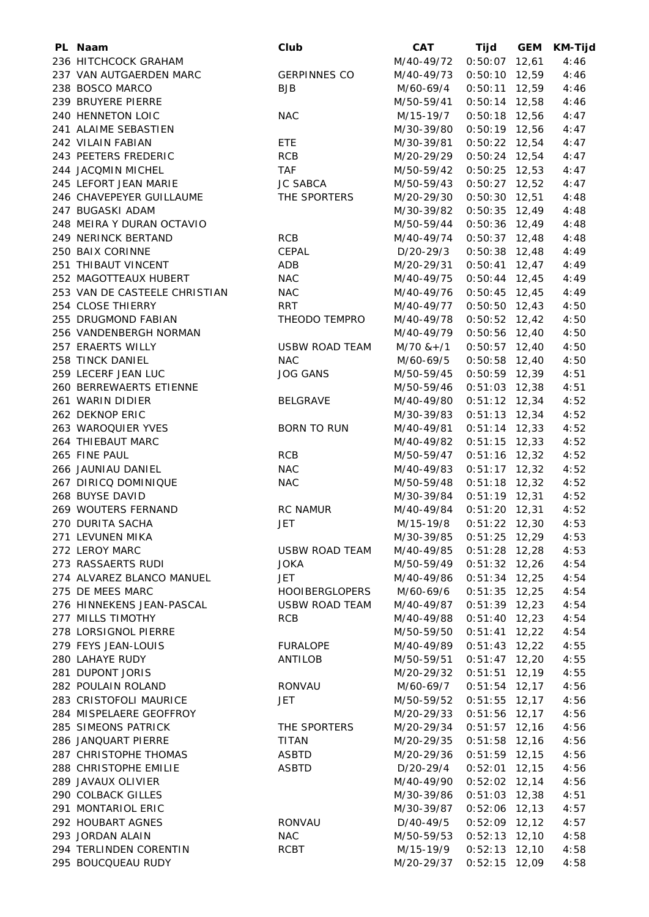| PL Naam                       | Club                  | <b>CAT</b>   | Tijd            | <b>GEM</b> | KM-Tijd |
|-------------------------------|-----------------------|--------------|-----------------|------------|---------|
| 236 HITCHCOCK GRAHAM          |                       | M/40-49/72   | $0:50:07$ 12,61 |            | 4:46    |
| 237 VAN AUTGAERDEN MARC       | <b>GERPINNES CO</b>   | M/40-49/73   | $0:50:10$ 12,59 |            | 4:46    |
| 238 BOSCO MARCO               | <b>BJB</b>            | M/60-69/4    | $0:50:11$ 12,59 |            | 4:46    |
| 239 BRUYERE PIERRE            |                       | M/50-59/41   | $0:50:14$ 12,58 |            | 4:46    |
| 240 HENNETON LOIC             | <b>NAC</b>            | M/15-19/7    | $0:50:18$ 12,56 |            | 4:47    |
| 241 ALAIME SEBASTIEN          |                       | M/30-39/80   | $0:50:19$ 12,56 |            | 4:47    |
| 242 VILAIN FABIAN             | ETE                   | M/30-39/81   | $0:50:22$ 12,54 |            | 4:47    |
| 243 PEETERS FREDERIC          | <b>RCB</b>            | M/20-29/29   | $0:50:24$ 12,54 |            | 4:47    |
| 244 JACQMIN MICHEL            | <b>TAF</b>            | M/50-59/42   | $0:50:25$ 12,53 |            | 4:47    |
| 245 LEFORT JEAN MARIE         | <b>JC SABCA</b>       | M/50-59/43   | $0:50:27$ 12,52 |            | 4:47    |
| 246 CHAVEPEYER GUILLAUME      | THE SPORTERS          | M/20-29/30   | $0:50:30$ 12,51 |            | 4:48    |
| 247 BUGASKI ADAM              |                       | M/30-39/82   | $0:50:35$ 12,49 |            | 4:48    |
| 248 MEIRA Y DURAN OCTAVIO     |                       | M/50-59/44   | $0:50:36$ 12,49 |            | 4:48    |
| 249 NERINCK BERTAND           | <b>RCB</b>            | M/40-49/74   | $0:50:37$ 12,48 |            | 4:48    |
| 250 BAIX CORINNE              | CEPAL                 | D/20-29/3    | $0:50:38$ 12,48 |            | 4:49    |
| 251 THIBAUT VINCENT           | ADB                   | M/20-29/31   | $0:50:41$ 12,47 |            | 4:49    |
| 252 MAGOTTEAUX HUBERT         | <b>NAC</b>            | M/40-49/75   | $0:50:44$ 12,45 |            | 4:49    |
| 253 VAN DE CASTEELE CHRISTIAN | <b>NAC</b>            | M/40-49/76   | $0:50:45$ 12,45 |            | 4:49    |
| 254 CLOSE THIERRY             | <b>RRT</b>            | M/40-49/77   | $0:50:50$ 12,43 |            | 4:50    |
| 255 DRUGMOND FABIAN           | THEODO TEMPRO         | M/40-49/78   | $0:50:52$ 12,42 |            | 4:50    |
| 256 VANDENBERGH NORMAN        |                       | M/40-49/79   | $0:50:56$ 12,40 |            | 4:50    |
| 257 ERAERTS WILLY             | <b>USBW ROAD TEAM</b> | $M/70$ & +/1 | $0:50:57$ 12,40 |            | 4:50    |
| 258 TINCK DANIEL              | <b>NAC</b>            | M/60-69/5    | $0:50:58$ 12,40 |            | 4:50    |
| 259 LECERF JEAN LUC           | <b>JOG GANS</b>       | M/50-59/45   | $0:50:59$ 12,39 |            | 4:51    |
| 260 BERREWAERTS ETIENNE       |                       | M/50-59/46   | $0:51:03$ 12,38 |            | 4:51    |
| 261 WARIN DIDIER              | <b>BELGRAVE</b>       | M/40-49/80   | $0:51:12$ 12,34 |            | 4:52    |
| 262 DEKNOP ERIC               |                       | M/30-39/83   | $0:51:13$ 12,34 |            | 4:52    |
| 263 WAROQUIER YVES            | <b>BORN TO RUN</b>    | M/40-49/81   | $0:51:14$ 12,33 |            | 4:52    |
| 264 THIEBAUT MARC             |                       | M/40-49/82   | $0:51:15$ 12,33 |            | 4:52    |
| 265 FINE PAUL                 | <b>RCB</b>            | M/50-59/47   | $0:51:16$ 12,32 |            | 4:52    |
| 266 JAUNIAU DANIEL            | <b>NAC</b>            | M/40-49/83   | $0:51:17$ 12,32 |            | 4:52    |
| 267 DIRICQ DOMINIQUE          | <b>NAC</b>            | M/50-59/48   | $0:51:18$ 12,32 |            |         |
| 268 BUYSE DAVID               |                       |              |                 |            | 4:52    |
|                               |                       | M/30-39/84   | $0:51:19$ 12,31 |            | 4:52    |
| 269 WOUTERS FERNAND           | <b>RC NAMUR</b>       | M/40-49/84   | $0:51:20$ 12,31 |            | 4:52    |
| 270 DURITA SACHA              | JET                   | M/15-19/8    | $0:51:22$ 12,30 |            | 4:53    |
| 271 LEVUNEN MIKA              |                       | M/30-39/85   | $0:51:25$ 12,29 |            | 4:53    |
| 272 LEROY MARC                | USBW ROAD TEAM        | M/40-49/85   | $0:51:28$ 12,28 |            | 4:53    |
| 273 RASSAERTS RUDI            | <b>JOKA</b>           | M/50-59/49   | $0:51:32$ 12,26 |            | 4:54    |
| 274 ALVAREZ BLANCO MANUEL     | JET                   | M/40-49/86   | $0:51:34$ 12,25 |            | 4:54    |
| 275 DE MEES MARC              | <b>HOOIBERGLOPERS</b> | M/60-69/6    | $0:51:35$ 12,25 |            | 4:54    |
| 276 HINNEKENS JEAN-PASCAL     | <b>USBW ROAD TEAM</b> | M/40-49/87   | $0:51:39$ 12,23 |            | 4:54    |
| 277 MILLS TIMOTHY             | <b>RCB</b>            | M/40-49/88   | $0:51:40$ 12,23 |            | 4:54    |
| 278 LORSIGNOL PIERRE          |                       | M/50-59/50   | $0:51:41$ 12,22 |            | 4:54    |
| 279 FEYS JEAN-LOUIS           | <b>FURALOPE</b>       | M/40-49/89   | $0:51:43$ 12,22 |            | 4:55    |
| 280 LAHAYE RUDY               | ANTILOB               | M/50-59/51   | $0:51:47$ 12,20 |            | 4:55    |
| 281 DUPONT JORIS              |                       | M/20-29/32   | $0:51:51$ 12,19 |            | 4:55    |
| 282 POULAIN ROLAND            | RONVAU                | M/60-69/7    | $0:51:54$ 12,17 |            | 4:56    |
| 283 CRISTOFOLI MAURICE        | JET                   | M/50-59/52   | $0:51:55$ 12,17 |            | 4:56    |
| 284 MISPELAERE GEOFFROY       |                       | M/20-29/33   | $0:51:56$ 12,17 |            | 4:56    |
| 285 SIMEONS PATRICK           | THE SPORTERS          | M/20-29/34   | $0:51:57$ 12,16 |            | 4:56    |
| 286 JANQUART PIERRE           | <b>TITAN</b>          | M/20-29/35   | $0:51:58$ 12,16 |            | 4:56    |
| 287 CHRISTOPHE THOMAS         | <b>ASBTD</b>          | M/20-29/36   | $0:51:59$ 12,15 |            | 4:56    |
| 288 CHRISTOPHE EMILIE         | <b>ASBTD</b>          | D/20-29/4    | $0:52:01$ 12,15 |            | 4:56    |
| 289 JAVAUX OLIVIER            |                       | M/40-49/90   | $0:52:02$ 12,14 |            | 4:56    |
| 290 COLBACK GILLES            |                       | M/30-39/86   | $0:51:03$ 12,38 |            | 4:51    |
| 291 MONTARIOL ERIC            |                       | M/30-39/87   | $0:52:06$ 12,13 |            | 4:57    |
| 292 HOUBART AGNES             | RONVAU                | D/40-49/5    | $0:52:09$ 12,12 |            | 4:57    |
| 293 JORDAN ALAIN              | <b>NAC</b>            | M/50-59/53   | $0:52:13$ 12,10 |            | 4:58    |
| 294 TERLINDEN CORENTIN        | RCBT                  | M/15-19/9    | $0:52:13$ 12,10 |            | 4:58    |
| 295 BOUCQUEAU RUDY            |                       | M/20-29/37   | $0:52:15$ 12,09 |            | 4:58    |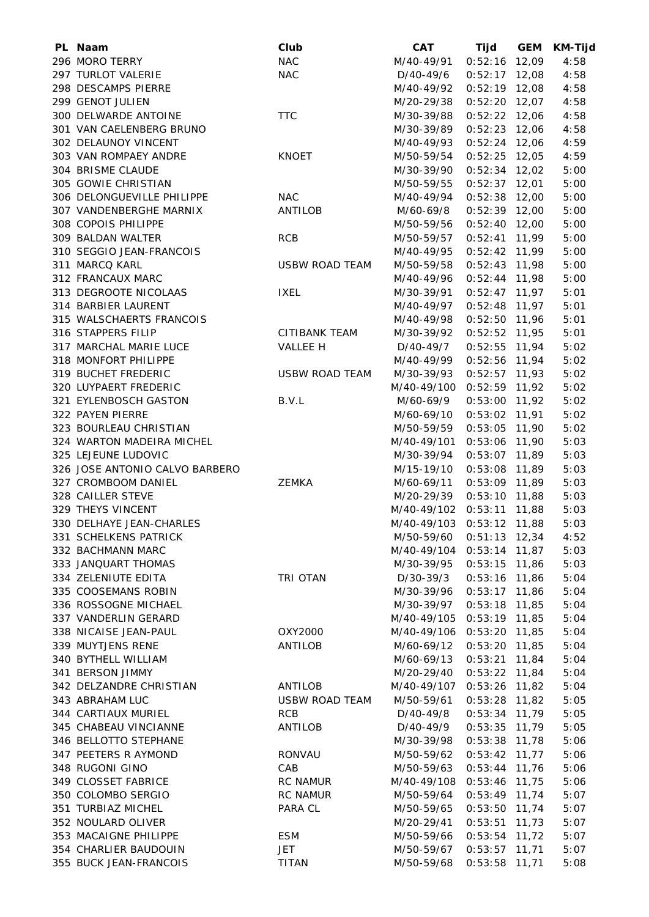| PL Naam                        | Club                  | <b>CAT</b>                | Tijd            | <b>GEM</b> | <b>KM-Tijd</b> |
|--------------------------------|-----------------------|---------------------------|-----------------|------------|----------------|
| 296 MORO TERRY                 | <b>NAC</b>            | M/40-49/91                | $0:52:16$ 12,09 |            | 4:58           |
| 297 TURLOT VALERIE             | <b>NAC</b>            | D/40-49/6                 | $0:52:17$ 12,08 |            | 4:58           |
| 298 DESCAMPS PIERRE            |                       | M/40-49/92                | $0:52:19$ 12,08 |            | 4:58           |
| 299 GENOT JULIEN               |                       | M/20-29/38                | $0:52:20$ 12,07 |            | 4:58           |
| 300 DELWARDE ANTOINE           | <b>TTC</b>            | M/30-39/88                | $0:52:22$ 12,06 |            | 4:58           |
| 301 VAN CAELENBERG BRUNO       |                       | M/30-39/89                | $0:52:23$ 12,06 |            | 4:58           |
| 302 DELAUNOY VINCENT           |                       | M/40-49/93                | $0:52:24$ 12,06 |            | 4:59           |
| 303 VAN ROMPAEY ANDRE          | <b>KNOET</b>          | M/50-59/54                | $0:52:25$ 12,05 |            | 4:59           |
| 304 BRISME CLAUDE              |                       | M/30-39/90                | $0:52:34$ 12,02 |            | 5:00           |
| 305 GOWIE CHRISTIAN            |                       | M/50-59/55                | $0:52:37$ 12,01 |            | 5:00           |
| 306 DELONGUEVILLE PHILIPPE     | <b>NAC</b>            | M/40-49/94                | $0:52:38$ 12,00 |            | 5:00           |
| 307 VANDENBERGHE MARNIX        | ANTILOB               | M/60-69/8                 | $0:52:39$ 12,00 |            | 5:00           |
| 308 COPOIS PHILIPPE            |                       | M/50-59/56                | $0:52:40$ 12,00 |            | 5:00           |
| 309 BALDAN WALTER              | <b>RCB</b>            | M/50-59/57                | $0:52:41$ 11,99 |            | 5:00           |
| 310 SEGGIO JEAN-FRANCOIS       |                       | M/40-49/95                | $0:52:42$ 11,99 |            | 5:00           |
| 311 MARCQ KARL                 | <b>USBW ROAD TEAM</b> | M/50-59/58                | $0:52:43$ 11,98 |            | 5:00           |
| 312 FRANCAUX MARC              |                       | M/40-49/96                | $0:52:44$ 11,98 |            | 5:00           |
| 313 DEGROOTE NICOLAAS          | <b>IXEL</b>           | M/30-39/91                | $0:52:47$ 11,97 |            | 5:01           |
| 314 BARBIER LAURENT            |                       | M/40-49/97                | $0:52:48$ 11,97 |            | 5:01           |
| 315 WALSCHAERTS FRANCOIS       |                       | M/40-49/98                | $0:52:50$ 11,96 |            | 5:01           |
| 316 STAPPERS FILIP             | CITIBANK TEAM         | M/30-39/92                | $0:52:52$ 11,95 |            | 5:01           |
| 317 MARCHAL MARIE LUCE         | VALLEE H              |                           | $0:52:55$ 11,94 |            | 5:02           |
| 318 MONFORT PHILIPPE           |                       | D/40-49/7                 |                 |            | 5:02           |
|                                |                       | M/40-49/99                | $0:52:56$ 11,94 |            |                |
| 319 BUCHET FREDERIC            | <b>USBW ROAD TEAM</b> | M/30-39/93                | $0:52:57$ 11,93 |            | 5:02           |
| 320 LUYPAERT FREDERIC          |                       | M/40-49/100               | $0:52:59$ 11,92 |            | 5:02           |
| 321 EYLENBOSCH GASTON          | B.V.L                 | M/60-69/9                 | $0:53:00$ 11,92 |            | 5:02           |
| 322 PAYEN PIERRE               |                       | M/60-69/10                | $0:53:02$ 11,91 |            | 5:02           |
| 323 BOURLEAU CHRISTIAN         |                       | M/50-59/59                | $0:53:05$ 11,90 |            | 5:02           |
| 324 WARTON MADEIRA MICHEL      |                       | M/40-49/101               | $0:53:06$ 11,90 |            | 5:03           |
| 325 LEJEUNE LUDOVIC            |                       | M/30-39/94                | $0:53:07$ 11,89 |            | 5:03           |
| 326 JOSE ANTONIO CALVO BARBERO |                       | M/15-19/10                | $0:53:08$ 11,89 |            | 5:03           |
| 327 CROMBOOM DANIEL            | ZEMKA                 | M/60-69/11                | $0:53:09$ 11,89 |            | 5:03           |
| 328 CAILLER STEVE              |                       | M/20-29/39                | $0:53:10$ 11,88 |            | 5:03           |
| 329 THEYS VINCENT              |                       | M/40-49/102 0:53:11 11,88 |                 |            | 5:03           |
| 330 DELHAYE JEAN-CHARLES       |                       | M/40-49/103 0:53:12 11,88 |                 |            | 5:03           |
| 331 SCHELKENS PATRICK          |                       | M/50-59/60                | $0:51:13$ 12,34 |            | 4:52           |
| 332 BACHMANN MARC              |                       | M/40-49/104               | $0:53:14$ 11,87 |            | 5:03           |
| 333 JANQUART THOMAS            |                       | M/30-39/95                | $0:53:15$ 11,86 |            | 5:03           |
| 334 ZELENIUTE EDITA            | TRI OTAN              | D/30-39/3                 | $0:53:16$ 11,86 |            | 5:04           |
| 335 COOSEMANS ROBIN            |                       | M/30-39/96                | $0:53:17$ 11,86 |            | 5:04           |
| 336 ROSSOGNE MICHAEL           |                       | M/30-39/97                | $0:53:18$ 11,85 |            | 5:04           |
| 337 VANDERLIN GERARD           |                       | M/40-49/105               | $0:53:19$ 11,85 |            | 5:04           |
| 338 NICAISE JEAN-PAUL          | OXY2000               | M/40-49/106               | $0:53:20$ 11,85 |            | 5:04           |
| 339 MUYTJENS RENE              | ANTILOB               | M/60-69/12                | $0:53:20$ 11,85 |            | 5:04           |
| 340 BYTHELL WILLIAM            |                       | M/60-69/13                | $0:53:21$ 11,84 |            | 5:04           |
| 341 BERSON JIMMY               |                       | M/20-29/40                | $0:53:22$ 11,84 |            | 5:04           |
| 342 DELZANDRE CHRISTIAN        | ANTILOB               | M/40-49/107               | $0:53:26$ 11,82 |            | 5:04           |
| 343 ABRAHAM LUC                | <b>USBW ROAD TEAM</b> | M/50-59/61                | $0:53:28$ 11,82 |            | 5:05           |
| 344 CARTIAUX MURIEL            | RCB                   | D/40-49/8                 | $0:53:34$ 11,79 |            | 5:05           |
| 345 CHABEAU VINCIANNE          | ANTILOB               | D/40-49/9                 | $0:53:35$ 11,79 |            | 5:05           |
| 346 BELLOTTO STEPHANE          |                       | M/30-39/98                | $0:53:38$ 11,78 |            | 5:06           |
| 347 PEETERS R AYMOND           | <b>RONVAU</b>         | M/50-59/62                | $0:53:42$ 11,77 |            | 5:06           |
| 348 RUGONI GINO                | CAB                   | M/50-59/63                | 0:53:44         | 11,76      | 5:06           |
| 349 CLOSSET FABRICE            | RC NAMUR              | M/40-49/108               | 0:53:46         | 11,75      | 5:06           |
| 350 COLOMBO SERGIO             | <b>RC NAMUR</b>       | M/50-59/64                | 0:53:49         | 11,74      | 5:07           |
| 351 TURBIAZ MICHEL             | PARA CL               | M/50-59/65                | 0:53:50         | 11,74      | 5:07           |
| 352 NOULARD OLIVER             |                       | M/20-29/41                | $0:53:51$ 11,73 |            | 5:07           |
| 353 MACAIGNE PHILIPPE          | <b>ESM</b>            | M/50-59/66                | $0:53:54$ 11,72 |            | 5:07           |
| 354 CHARLIER BAUDOUIN          | <b>JET</b>            | M/50-59/67                | $0:53:57$ 11,71 |            | 5:07           |
| 355 BUCK JEAN-FRANCOIS         | <b>TITAN</b>          | M/50-59/68                | $0:53:58$ 11,71 |            | 5:08           |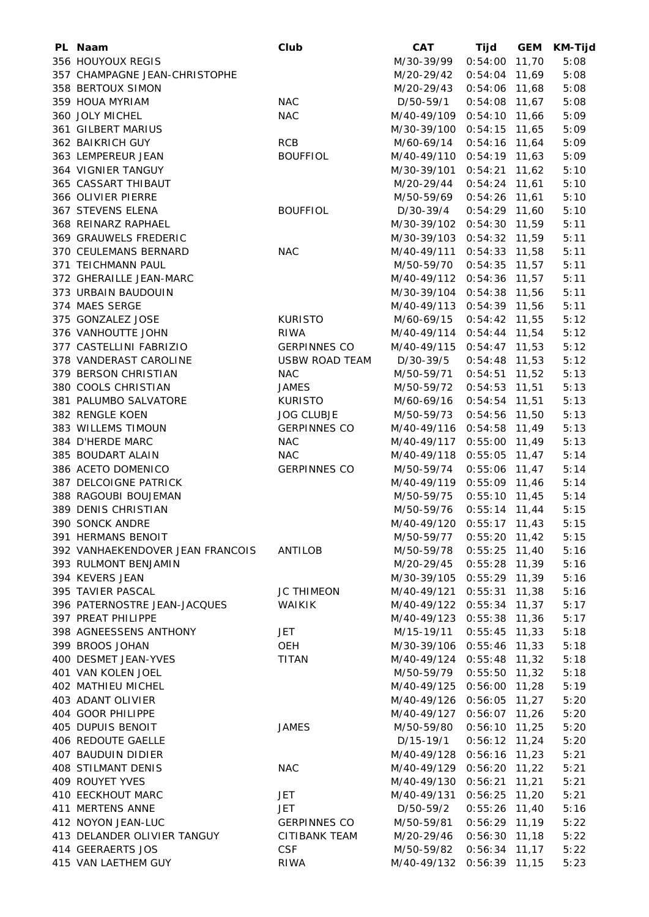| PL Naam                          | Club                          | <b>CAT</b>                              | Tijd            | <b>GEM</b> | <b>KM-Tijd</b> |
|----------------------------------|-------------------------------|-----------------------------------------|-----------------|------------|----------------|
| 356 HOUYOUX REGIS                |                               | M/30-39/99                              | $0:54:00$ 11,70 |            | 5:08           |
| 357 CHAMPAGNE JEAN-CHRISTOPHE    |                               | M/20-29/42                              | $0:54:04$ 11,69 |            | 5:08           |
| 358 BERTOUX SIMON                |                               | M/20-29/43                              | $0:54:06$ 11,68 |            | 5:08           |
| 359 HOUA MYRIAM                  | <b>NAC</b>                    | D/50-59/1                               | $0:54:08$ 11,67 |            | 5:08           |
| 360 JOLY MICHEL                  | <b>NAC</b>                    | M/40-49/109                             | $0:54:10$ 11,66 |            | 5:09           |
| 361 GILBERT MARIUS               |                               | M/30-39/100 0:54:15 11,65               |                 |            | 5:09           |
| 362 BAIKRICH GUY                 | <b>RCB</b>                    | M/60-69/14                              | $0:54:16$ 11,64 |            | 5:09           |
| 363 LEMPEREUR JEAN               | <b>BOUFFIOL</b>               | M/40-49/110 0:54:19 11,63               |                 |            | 5:09           |
| 364 VIGNIER TANGUY               |                               | M/30-39/101 0:54:21 11,62               |                 |            | 5:10           |
| 365 CASSART THIBAUT              |                               | M/20-29/44                              | $0:54:24$ 11,61 |            | 5:10           |
| 366 OLIVIER PIERRE               |                               | M/50-59/69                              | $0:54:26$ 11,61 |            | 5:10           |
| 367 STEVENS ELENA                | <b>BOUFFIOL</b>               | D/30-39/4                               | $0:54:29$ 11,60 |            | 5:10           |
| 368 REINARZ RAPHAEL              |                               | M/30-39/102 0:54:30 11,59               |                 |            | 5:11           |
| 369 GRAUWELS FREDERIC            |                               | M/30-39/103 0:54:32 11,59               |                 |            | 5:11           |
| 370 CEULEMANS BERNARD            | <b>NAC</b>                    | M/40-49/111 0:54:33 11,58               |                 |            | 5:11           |
| 371 TEICHMANN PAUL               |                               | M/50-59/70                              | $0:54:35$ 11,57 |            | 5:11           |
| 372 GHERAILLE JEAN-MARC          |                               | M/40-49/112 0:54:36 11,57               |                 |            | 5:11           |
| 373 URBAIN BAUDOUIN              |                               | M/30-39/104                             | $0:54:38$ 11,56 |            | 5:11           |
| 374 MAES SERGE                   |                               | M/40-49/113 0:54:39 11,56               |                 |            | 5:11           |
| 375 GONZALEZ JOSE                |                               |                                         | $0:54:42$ 11,55 |            | 5:12           |
|                                  | <b>KURISTO</b><br><b>RIWA</b> | M/60-69/15<br>M/40-49/114 0:54:44 11,54 |                 |            |                |
| 376 VANHOUTTE JOHN               |                               | M/40-49/115 0:54:47 11,53               |                 |            | 5:12           |
| 377 CASTELLINI FABRIZIO          | <b>GERPINNES CO</b>           |                                         |                 |            | 5:12           |
| 378 VANDERAST CAROLINE           | <b>USBW ROAD TEAM</b>         | D/30-39/5                               | $0:54:48$ 11,53 |            | 5:12           |
| 379 BERSON CHRISTIAN             | <b>NAC</b>                    | M/50-59/71                              | $0:54:51$ 11,52 |            | 5:13           |
| 380 COOLS CHRISTIAN              | <b>JAMES</b>                  | M/50-59/72                              | $0:54:53$ 11,51 |            | 5:13           |
| 381 PALUMBO SALVATORE            | <b>KURISTO</b>                | M/60-69/16                              | $0:54:54$ 11,51 |            | 5:13           |
| 382 RENGLE KOEN                  | <b>JOG CLUBJE</b>             | M/50-59/73                              | $0:54:56$ 11,50 |            | 5:13           |
| 383 WILLEMS TIMOUN               | <b>GERPINNES CO</b>           | M/40-49/116                             | $0:54:58$ 11,49 |            | 5:13           |
| 384 D'HERDE MARC                 | <b>NAC</b>                    | M/40-49/117                             | $0:55:00$ 11,49 |            | 5:13           |
| 385 BOUDART ALAIN                | <b>NAC</b>                    | M/40-49/118 0:55:05 11,47               |                 |            | 5:14           |
| 386 ACETO DOMENICO               | <b>GERPINNES CO</b>           | M/50-59/74                              | $0:55:06$ 11,47 |            | 5:14           |
| 387 DELCOIGNE PATRICK            |                               | M/40-49/119 0:55:09 11,46               |                 |            | 5:14           |
| 388 RAGOUBI BOUJEMAN             |                               | M/50-59/75                              | $0:55:10$ 11,45 |            | 5:14           |
| 389 DENIS CHRISTIAN              |                               | M/50-59/76                              | $0:55:14$ 11,44 |            | 5:15           |
| 390 SONCK ANDRE                  |                               | M/40-49/120 0:55:17 11,43               |                 |            | 5:15           |
| 391 HERMANS BENOIT               |                               | M/50-59/77                              | $0:55:20$ 11,42 |            | 5:15           |
| 392 VANHAEKENDOVER JEAN FRANCOIS | ANTILOB                       | M/50-59/78                              | $0:55:25$ 11,40 |            | 5:16           |
| 393 RULMONT BENJAMIN             |                               | M/20-29/45                              | $0:55:28$ 11,39 |            | 5:16           |
| 394 KEVERS JEAN                  |                               | M/30-39/105                             | $0:55:29$ 11,39 |            | 5:16           |
| 395 TAVIER PASCAL                | <b>JC THIMEON</b>             | M/40-49/121                             | $0:55:31$ 11,38 |            | 5:16           |
| 396 PATERNOSTRE JEAN-JACQUES     | <b>WAIKIK</b>                 | M/40-49/122                             | $0:55:34$ 11,37 |            | 5:17           |
| 397 PREAT PHILIPPE               |                               | M/40-49/123                             | $0:55:38$ 11,36 |            | 5:17           |
| 398 AGNEESSENS ANTHONY           | JET                           | M/15-19/11                              | $0:55:45$ 11,33 |            | 5:18           |
| 399 BROOS JOHAN                  | OEH                           | M/30-39/106 0:55:46 11,33               |                 |            | 5:18           |
| 400 DESMET JEAN-YVES             | <b>TITAN</b>                  | M/40-49/124 0:55:48 11,32               |                 |            | 5:18           |
| 401 VAN KOLEN JOEL               |                               | M/50-59/79                              | $0:55:50$ 11,32 |            | 5:18           |
| 402 MATHIEU MICHEL               |                               | M/40-49/125 0:56:00 11,28               |                 |            | 5:19           |
| 403 ADANT OLIVIER                |                               | M/40-49/126 0:56:05 11,27               |                 |            | 5:20           |
| 404 GOOR PHILIPPE                |                               | M/40-49/127 0:56:07 11,26               |                 |            | 5:20           |
| 405 DUPUIS BENOIT                | <b>JAMES</b>                  | M/50-59/80                              | $0:56:10$ 11,25 |            | 5:20           |
| 406 REDOUTE GAELLE               |                               | D/15-19/1                               | $0:56:12$ 11,24 |            | 5:20           |
| 407 BAUDUIN DIDIER               |                               | M/40-49/128                             | $0:56:16$ 11,23 |            | 5:21           |
| 408 STILMANT DENIS               | <b>NAC</b>                    | M/40-49/129                             | $0:56:20$ 11,22 |            | 5:21           |
| 409 ROUYET YVES                  |                               | M/40-49/130                             | $0:56:21$ 11,21 |            | 5:21           |
| 410 EECKHOUT MARC                | JET                           | M/40-49/131                             | $0:56:25$ 11,20 |            | 5:21           |
| 411 MERTENS ANNE                 | JET                           | D/50-59/2                               | $0:55:26$ 11,40 |            | 5:16           |
| 412 NOYON JEAN-LUC               | <b>GERPINNES CO</b>           | M/50-59/81                              | $0:56:29$ 11,19 |            | 5:22           |
| 413 DELANDER OLIVIER TANGUY      | CITIBANK TEAM                 | M/20-29/46                              | $0:56:30$ 11,18 |            | 5:22           |
| 414 GEERAERTS JOS                | <b>CSF</b>                    | M/50-59/82                              | $0:56:34$ 11,17 |            | 5:22           |
| 415 VAN LAETHEM GUY              | <b>RIWA</b>                   | M/40-49/132 0:56:39 11,15               |                 |            | 5:23           |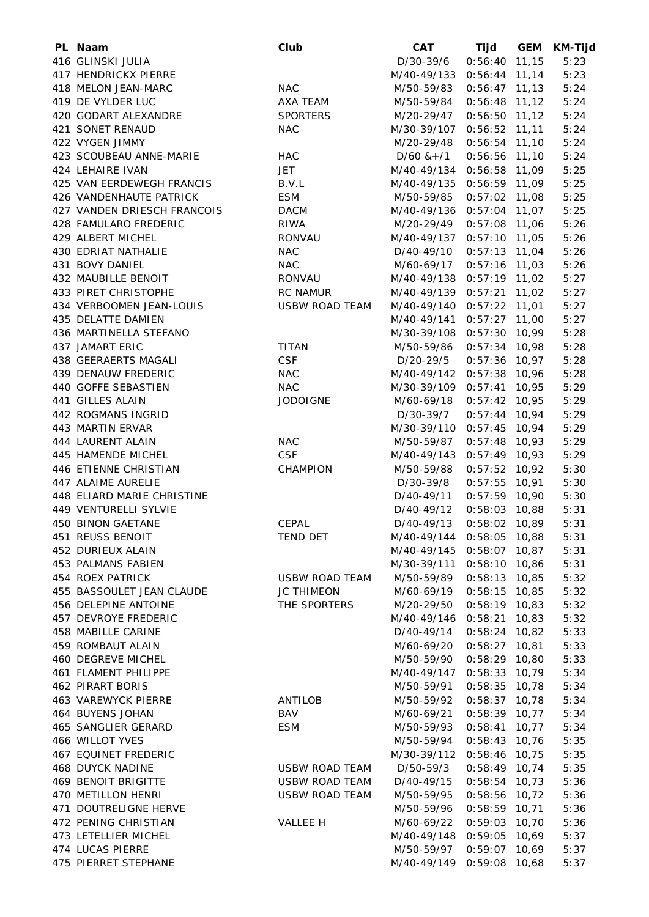| PL Naam                     | Club                  | <b>CAT</b>                | <b>Tijd</b>     | <b>GEM</b> | <b>KM-Tijd</b> |
|-----------------------------|-----------------------|---------------------------|-----------------|------------|----------------|
| 416 GLINSKI JULIA           |                       | D/30-39/6                 | $0:56:40$ 11,15 |            | 5:23           |
| 417 HENDRICKX PIERRE        |                       | M/40-49/133               | $0:56:44$ 11,14 |            | 5:23           |
| 418 MELON JEAN-MARC         | <b>NAC</b>            | M/50-59/83                | $0:56:47$ 11,13 |            | 5:24           |
| 419 DE VYLDER LUC           | AXA TEAM              | M/50-59/84                | $0:56:48$ 11,12 |            | 5:24           |
| 420 GODART ALEXANDRE        | <b>SPORTERS</b>       | M/20-29/47                | $0:56:50$ 11,12 |            | 5:24           |
| 421 SONET RENAUD            | <b>NAC</b>            | M/30-39/107               | $0:56:52$ 11,11 |            | 5:24           |
| 422 VYGEN JIMMY             |                       | M/20-29/48                | $0:56:54$ 11,10 |            | 5:24           |
| 423 SCOUBEAU ANNE-MARIE     | <b>HAC</b>            | $D/60$ & +/1              | $0:56:56$ 11,10 |            | 5:24           |
| 424 LEHAIRE IVAN            | <b>JET</b>            | M/40-49/134 0:56:58 11,09 |                 |            | 5:25           |
| 425 VAN EERDEWEGH FRANCIS   | B.V.L                 | M/40-49/135 0:56:59 11,09 |                 |            | 5:25           |
| 426 VANDENHAUTE PATRICK     | <b>ESM</b>            | M/50-59/85                | $0:57:02$ 11,08 |            | 5:25           |
| 427 VANDEN DRIESCH FRANCOIS | <b>DACM</b>           | M/40-49/136 0:57:04 11,07 |                 |            | 5:25           |
| 428 FAMULARO FREDERIC       | RIWA                  | M/20-29/49                | $0:57:08$ 11,06 |            | 5:26           |
| 429 ALBERT MICHEL           | <b>RONVAU</b>         | M/40-49/137               | $0:57:10$ 11,05 |            | 5:26           |
| 430 EDRIAT NATHALIE         | <b>NAC</b>            | D/40-49/10                | $0:57:13$ 11,04 |            | 5:26           |
| 431 BOVY DANIEL             | <b>NAC</b>            | M/60-69/17                | $0:57:16$ 11,03 |            | 5:26           |
| 432 MAUBILLE BENOIT         | RONVAU                | M/40-49/138 0:57:19 11,02 |                 |            | 5:27           |
| 433 PIRET CHRISTOPHE        | <b>RC NAMUR</b>       | M/40-49/139               | $0:57:21$ 11,02 |            | 5:27           |
| 434 VERBOOMEN JEAN-LOUIS    | <b>USBW ROAD TEAM</b> | M/40-49/140               | $0:57:22$ 11,01 |            | 5:27           |
| 435 DELATTE DAMIEN          |                       | M/40-49/141               | $0:57:27$ 11,00 |            | 5:27           |
| 436 MARTINELLA STEFANO      |                       | M/30-39/108 0:57:30 10,99 |                 |            | 5:28           |
| 437 JAMART ERIC             | <b>TITAN</b>          | M/50-59/86                | $0:57:34$ 10,98 |            | 5:28           |
| 438 GEERAERTS MAGALI        | <b>CSF</b>            | D/20-29/5                 | $0:57:36$ 10,97 |            | 5:28           |
| 439 DENAUW FREDERIC         | <b>NAC</b>            | M/40-49/142 0:57:38 10,96 |                 |            | 5:28           |
| 440 GOFFE SEBASTIEN         | <b>NAC</b>            | M/30-39/109 0:57:41 10,95 |                 |            | 5:29           |
| 441 GILLES ALAIN            | <b>JODOIGNE</b>       |                           | $0:57:42$ 10,95 |            | 5:29           |
| 442 ROGMANS INGRID          |                       | M/60-69/18                |                 |            | 5:29           |
|                             |                       | D/30-39/7                 | $0:57:44$ 10,94 |            |                |
| 443 MARTIN ERVAR            |                       | M/30-39/110 0:57:45 10,94 |                 |            | 5:29           |
| 444 LAURENT ALAIN           | <b>NAC</b>            | M/50-59/87                | $0:57:48$ 10,93 |            | 5:29           |
| 445 HAMENDE MICHEL          | <b>CSF</b>            | M/40-49/143               | $0:57:49$ 10,93 |            | 5:29           |
| 446 ETIENNE CHRISTIAN       | CHAMPION              | M/50-59/88                | $0:57:52$ 10,92 |            | 5:30           |
| 447 ALAIME AURELIE          |                       | D/30-39/8                 | $0:57:55$ 10,91 |            | 5:30           |
| 448 ELIARD MARIE CHRISTINE  |                       | D/40-49/11                | $0:57:59$ 10,90 |            | 5:30           |
| 449 VENTURELLI SYLVIE       |                       | D/40-49/12                | $0:58:03$ 10,88 |            | 5:31           |
| 450 BINON GAETANE           | CEPAL                 | D/40-49/13                | $0:58:02$ 10,89 |            | 5:31           |
| 451 REUSS BENOIT            | TEND DET              | M/40-49/144               | $0:58:05$ 10,88 |            | 5:31           |
| 452 DURIEUX ALAIN           |                       | M/40-49/145               | $0:58:07$ 10,87 |            | 5:31           |
| 453 PALMANS FABIEN          |                       | M/30-39/111               | $0:58:10$ 10,86 |            | 5:31           |
| 454 ROEX PATRICK            | USBW ROAD TEAM        | M/50-59/89                | $0:58:13$ 10,85 |            | 5:32           |
| 455 BASSOULET JEAN CLAUDE   | <b>JC THIMEON</b>     | M/60-69/19                | $0:58:15$ 10,85 |            | 5:32           |
| 456 DELEPINE ANTOINE        | THE SPORTERS          | M/20-29/50                | 0:58:19         | 10,83      | 5:32           |
| 457 DEVROYE FREDERIC        |                       | M/40-49/146               | 0:58:21         | 10,83      | 5:32           |
| 458 MABILLE CARINE          |                       | D/40-49/14                | $0:58:24$ 10,82 |            | 5:33           |
| 459 ROMBAUT ALAIN           |                       | M/60-69/20                | 0:58:27         | 10,81      | 5:33           |
| 460 DEGREVE MICHEL          |                       | M/50-59/90                | $0:58:29$ 10,80 |            | 5:33           |
| 461 FLAMENT PHILIPPE        |                       | M/40-49/147               | $0:58:33$ 10,79 |            | 5:34           |
| 462 PIRART BORIS            |                       | M/50-59/91                | $0:58:35$ 10,78 |            | 5:34           |
| <b>463 VAREWYCK PIERRE</b>  | ANTILOB               | M/50-59/92                | $0:58:37$ 10,78 |            | 5:34           |
| 464 BUYENS JOHAN            | BAV                   | M/60-69/21                | $0:58:39$ 10,77 |            | 5:34           |
| 465 SANGLIER GERARD         | <b>ESM</b>            | M/50-59/93                | 0:58:41         | 10,77      | 5:34           |
| 466 WILLOT YVES             |                       | M/50-59/94                | $0:58:43$ 10,76 |            | 5:35           |
| <b>467 EQUINET FREDERIC</b> |                       | M/30-39/112               | 0:58:46         | 10,75      | 5:35           |
| <b>468 DUYCK NADINE</b>     | <b>USBW ROAD TEAM</b> | D/50-59/3                 | 0:58:49         | 10,74      | 5:35           |
| <b>469 BENOIT BRIGITTE</b>  | <b>USBW ROAD TEAM</b> | D/40-49/15                | 0:58:54         | 10,73      | 5:36           |
| 470 METILLON HENRI          | <b>USBW ROAD TEAM</b> | M/50-59/95                | 0:58:56         | 10,72      | 5:36           |
| 471 DOUTRELIGNE HERVE       |                       | M/50-59/96                | 0:58:59         | 10,71      | 5:36           |
| 472 PENING CHRISTIAN        | VALLEE H              | M/60-69/22                | 0:59:03         | 10,70      | 5:36           |
| 473 LETELLIER MICHEL        |                       | M/40-49/148               | 0:59:05         | 10,69      | 5:37           |
| 474 LUCAS PIERRE            |                       | M/50-59/97                | 0:59:07         | 10,69      | 5:37           |
| 475 PIERRET STEPHANE        |                       | M/40-49/149 0:59:08 10,68 |                 |            | 5:37           |
|                             |                       |                           |                 |            |                |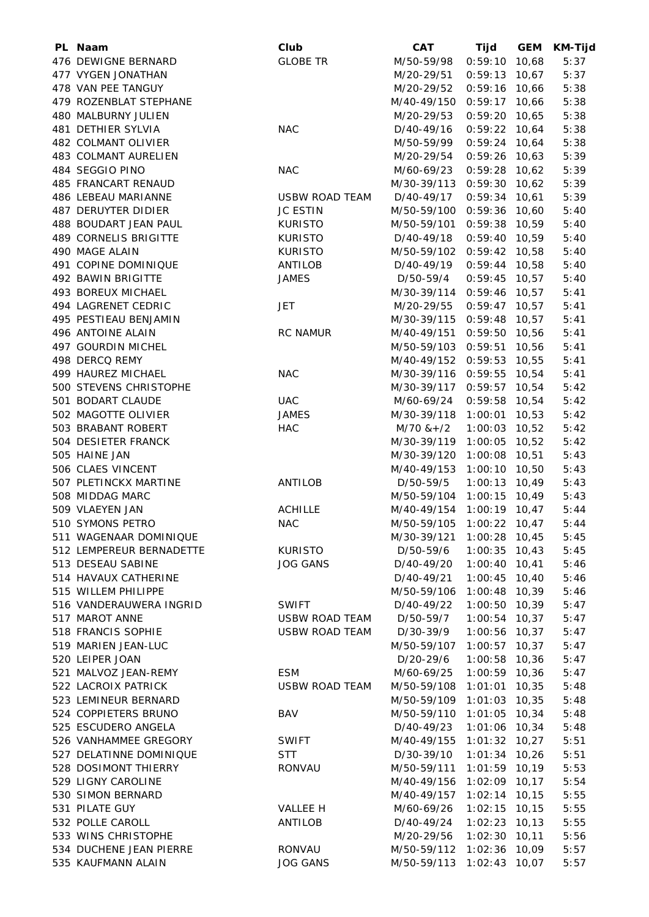| PL Naam                    | Club            | <b>CAT</b>                | Tijd            | <b>GEM</b> | KM-Tijd |
|----------------------------|-----------------|---------------------------|-----------------|------------|---------|
| 476 DEWIGNE BERNARD        | <b>GLOBE TR</b> | M/50-59/98                | $0:59:10$ 10,68 |            | 5:37    |
| 477 VYGEN JONATHAN         |                 | M/20-29/51                | $0:59:13$ 10,67 |            | 5:37    |
| 478 VAN PEE TANGUY         |                 | M/20-29/52                | $0:59:16$ 10,66 |            | 5:38    |
| 479 ROZENBLAT STEPHANE     |                 | M/40-49/150               | $0:59:17$ 10,66 |            | 5:38    |
| 480 MALBURNY JULIEN        |                 | M/20-29/53                | $0:59:20$ 10,65 |            | 5:38    |
| 481 DETHIER SYLVIA         | <b>NAC</b>      | D/40-49/16                | $0:59:22$ 10,64 |            | 5:38    |
| 482 COLMANT OLIVIER        |                 | M/50-59/99                | $0:59:24$ 10,64 |            | 5:38    |
| 483 COLMANT AURELIEN       |                 | M/20-29/54                | $0:59:26$ 10,63 |            | 5:39    |
| 484 SEGGIO PINO            | <b>NAC</b>      | M/60-69/23                | $0:59:28$ 10,62 |            | 5:39    |
| 485 FRANCART RENAUD        |                 | M/30-39/113               | $0:59:30$ 10,62 |            | 5:39    |
| 486 LEBEAU MARIANNE        | USBW ROAD TEAM  | D/40-49/17                | $0:59:34$ 10,61 |            | 5:39    |
| <b>487 DERUYTER DIDIER</b> | <b>JC ESTIN</b> | M/50-59/100               | $0:59:36$ 10,60 |            | 5:40    |
| 488 BOUDART JEAN PAUL      | <b>KURISTO</b>  | M/50-59/101               | $0:59:38$ 10,59 |            | 5:40    |
| 489 CORNELIS BRIGITTE      | <b>KURISTO</b>  | D/40-49/18                | $0:59:40$ 10,59 |            | 5:40    |
| 490 MAGE ALAIN             | <b>KURISTO</b>  | M/50-59/102               | $0:59:42$ 10,58 |            | 5:40    |
| 491 COPINE DOMINIQUE       | ANTILOB         | D/40-49/19                | $0:59:44$ 10,58 |            | 5:40    |
| 492 BAWIN BRIGITTE         | <b>JAMES</b>    | D/50-59/4                 | $0:59:45$ 10,57 |            | 5:40    |
| 493 BOREUX MICHAEL         |                 | M/30-39/114 0:59:46 10,57 |                 |            | 5:41    |
| 494 LAGRENET CEDRIC        | <b>JET</b>      | M/20-29/55                | $0:59:47$ 10,57 |            | 5:41    |
| 495 PESTIEAU BENJAMIN      |                 | M/30-39/115 0:59:48 10,57 |                 |            | 5:41    |
| 496 ANTOINE ALAIN          | <b>RC NAMUR</b> | M/40-49/151               | $0:59:50$ 10,56 |            | 5:41    |
| 497 GOURDIN MICHEL         |                 | M/50-59/103               | $0:59:51$ 10,56 |            | 5:41    |
| 498 DERCQ REMY             |                 | M/40-49/152 0:59:53 10,55 |                 |            | 5:41    |
|                            |                 |                           |                 |            |         |
| 499 HAUREZ MICHAEL         | <b>NAC</b>      | M/30-39/116 0:59:55 10,54 |                 |            | 5:41    |
| 500 STEVENS CHRISTOPHE     |                 | M/30-39/117 0:59:57 10,54 |                 |            | 5:42    |
| 501 BODART CLAUDE          | <b>UAC</b>      | M/60-69/24                | 0:59:58 10,54   |            | 5:42    |
| 502 MAGOTTE OLIVIER        | <b>JAMES</b>    | M/30-39/118 1:00:01 10,53 |                 |            | 5:42    |
| 503 BRABANT ROBERT         | <b>HAC</b>      | $M/70$ & +/2              | 1:00:03 10,52   |            | 5:42    |
| 504 DESIETER FRANCK        |                 | M/30-39/119               | $1:00:05$ 10,52 |            | 5:42    |
| 505 HAINE JAN              |                 | M/30-39/120               | $1:00:08$ 10,51 |            | 5:43    |
| 506 CLAES VINCENT          |                 | M/40-49/153               | $1:00:10$ 10,50 |            | 5:43    |
| 507 PLETINCKX MARTINE      | ANTILOB         | D/50-59/5                 | $1:00:13$ 10,49 |            | 5:43    |
| 508 MIDDAG MARC            |                 | M/50-59/104 1:00:15 10,49 |                 |            | 5:43    |
| 509 VLAEYEN JAN            | <b>ACHILLE</b>  | M/40-49/154               | $1:00:19$ 10,47 |            | 5:44    |
| 510 SYMONS PETRO           | <b>NAC</b>      | M/50-59/105 1:00:22 10,47 |                 |            | 5:44    |
| 511 WAGENAAR DOMINIQUE     |                 | M/30-39/121               | $1:00:28$ 10,45 |            | 5:45    |
| 512 LEMPEREUR BERNADETTE   | <b>KURISTO</b>  | D/50-59/6                 | $1:00:35$ 10,43 |            | 5:45    |
| 513 DESEAU SABINE          | <b>JOG GANS</b> | D/40-49/20                | $1:00:40$ 10,41 |            | 5:46    |
| 514 HAVAUX CATHERINE       |                 | $D/40-49/21$              | $1:00:45$ 10,40 |            | 5:46    |
| 515 WILLEM PHILIPPE        |                 | M/50-59/106               | $1:00:48$ 10,39 |            | 5:46    |
| 516 VANDERAUWERA INGRID    | <b>SWIFT</b>    | D/40-49/22                | $1:00:50$ 10,39 |            | 5:47    |
| 517 MAROT ANNE             | USBW ROAD TEAM  | D/50-59/7                 | 1:00:54         | 10,37      | 5:47    |
| 518 FRANCIS SOPHIE         | USBW ROAD TEAM  | D/30-39/9                 | $1:00:56$ 10,37 |            | 5:47    |
| 519 MARIEN JEAN-LUC        |                 | M/50-59/107               | $1:00:57$ 10,37 |            | 5:47    |
| 520 LEIPER JOAN            |                 | D/20-29/6                 | $1:00:58$ 10,36 |            | 5:47    |
| 521 MALVOZ JEAN-REMY       | <b>ESM</b>      | M/60-69/25                | 1:00:59 10,36   |            | 5:47    |
| 522 LACROIX PATRICK        | USBW ROAD TEAM  | M/50-59/108               | $1:01:01$ 10,35 |            | 5:48    |
| 523 LEMINEUR BERNARD       |                 | M/50-59/109               | $1:01:03$ 10,35 |            | 5:48    |
| 524 COPPIETERS BRUNO       | <b>BAV</b>      | M/50-59/110               | $1:01:05$ 10,34 |            | 5:48    |
| 525 ESCUDERO ANGELA        |                 | D/40-49/23                | $1:01:06$ 10,34 |            | 5:48    |
| 526 VANHAMMEE GREGORY      | <b>SWIFT</b>    | M/40-49/155               | $1:01:32$ 10,27 |            | 5:51    |
| 527 DELATINNE DOMINIQUE    | <b>STT</b>      | D/30-39/10                | $1:01:34$ 10,26 |            | 5:51    |
| 528 DOSIMONT THIERRY       | RONVAU          | M/50-59/111               | 1:01:59 10,19   |            | 5:53    |
| 529 LIGNY CAROLINE         |                 | M/40-49/156               | 1:02:09 10,17   |            | 5:54    |
| 530 SIMON BERNARD          |                 | M/40-49/157               | 1:02:14         | 10, 15     | 5:55    |
| 531 PILATE GUY             | VALLEE H        | M/60-69/26                | 1:02:15         | 10, 15     | 5:55    |
| 532 POLLE CAROLL           | ANTILOB         | D/40-49/24                | $1:02:23$ 10,13 |            | 5:55    |
| 533 WINS CHRISTOPHE        |                 | M/20-29/56                | 1:02:30         | 10, 11     | 5:56    |
| 534 DUCHENE JEAN PIERRE    | <b>RONVAU</b>   | M/50-59/112               | $1:02:36$ 10,09 |            | 5:57    |
| 535 KAUFMANN ALAIN         | <b>JOG GANS</b> | M/50-59/113               | $1:02:43$ 10,07 |            | 5:57    |
|                            |                 |                           |                 |            |         |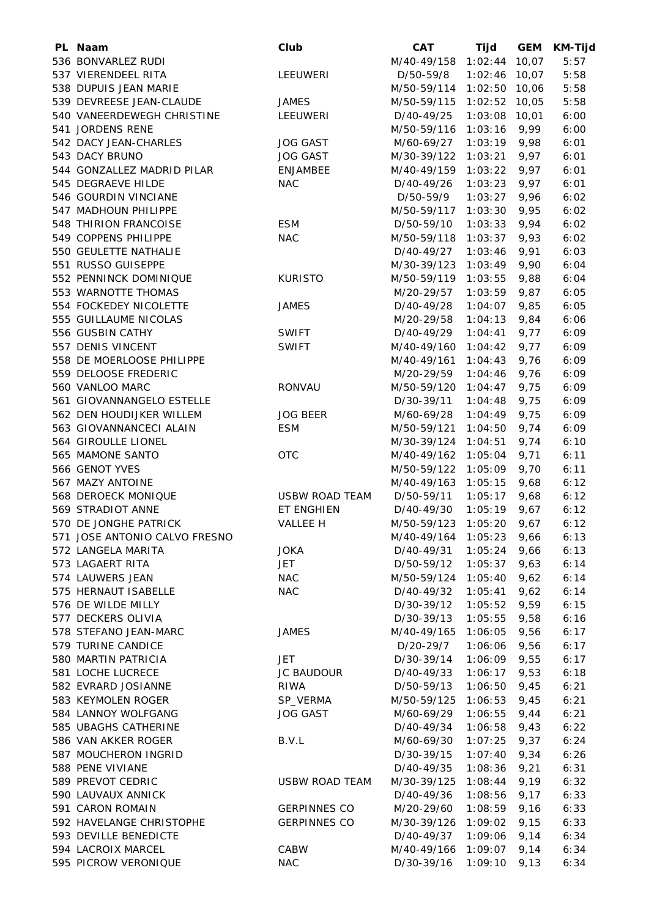| PL Naam                       | Club                  | <b>CAT</b>          | Tijd            | GEM   | <b>KM-Tijd</b> |
|-------------------------------|-----------------------|---------------------|-----------------|-------|----------------|
| 536 BONVARLEZ RUDI            |                       | M/40-49/158 1:02:44 |                 | 10,07 | 5:57           |
| 537 VIERENDEEL RITA           | LEEUWERI              | D/50-59/8           | $1:02:46$ 10,07 |       | 5:58           |
| 538 DUPUIS JEAN MARIE         |                       | M/50-59/114         | $1:02:50$ 10,06 |       | 5:58           |
| 539 DEVREESE JEAN-CLAUDE      | <b>JAMES</b>          | M/50-59/115         | 1:02:52         | 10,05 | 5:58           |
| 540 VANEERDEWEGH CHRISTINE    | LEEUWERI              | D/40-49/25          | 1:03:08         | 10,01 | 6:00           |
| 541 JORDENS RENE              |                       | M/50-59/116         | 1:03:16         | 9,99  | 6:00           |
| 542 DACY JEAN-CHARLES         | <b>JOG GAST</b>       | M/60-69/27          | 1:03:19         | 9,98  | 6:01           |
| 543 DACY BRUNO                | <b>JOG GAST</b>       | M/30-39/122         | 1:03:21         | 9,97  | 6:01           |
| 544 GONZALLEZ MADRID PILAR    | ENJAMBEE              | M/40-49/159         | 1:03:22         | 9,97  | 6:01           |
| 545 DEGRAEVE HILDE            | <b>NAC</b>            | D/40-49/26          | 1:03:23         | 9,97  | 6:01           |
| 546 GOURDIN VINCIANE          |                       | D/50-59/9           | 1:03:27         | 9,96  | 6:02           |
| 547 MADHOUN PHILIPPE          |                       | M/50-59/117 1:03:30 |                 | 9,95  | 6:02           |
| 548 THIRION FRANCOISE         | <b>ESM</b>            | D/50-59/10          | 1:03:33         | 9,94  | 6:02           |
| 549 COPPENS PHILIPPE          | <b>NAC</b>            | M/50-59/118         | 1:03:37         | 9,93  | 6:02           |
| 550 GEULETTE NATHALIE         |                       | D/40-49/27          | 1:03:46         | 9,91  | 6:03           |
| 551 RUSSO GUISEPPE            |                       |                     |                 |       |                |
|                               |                       | M/30-39/123         | 1:03:49         | 9,90  | 6:04           |
| 552 PENNINCK DOMINIQUE        | <b>KURISTO</b>        | M/50-59/119         | 1:03:55         | 9,88  | 6:04           |
| 553 WARNOTTE THOMAS           |                       | M/20-29/57          | 1:03:59         | 9,87  | 6:05           |
| 554 FOCKEDEY NICOLETTE        | <b>JAMES</b>          | D/40-49/28          | 1:04:07         | 9,85  | 6:05           |
| 555 GUILLAUME NICOLAS         |                       | M/20-29/58          | 1:04:13         | 9,84  | 6:06           |
| 556 GUSBIN CATHY              | <b>SWIFT</b>          | D/40-49/29          | 1:04:41         | 9,77  | 6:09           |
| 557 DENIS VINCENT             | <b>SWIFT</b>          | M/40-49/160         | 1:04:42         | 9,77  | 6:09           |
| 558 DE MOERLOOSE PHILIPPE     |                       | M/40-49/161         | 1:04:43         | 9,76  | 6:09           |
| 559 DELOOSE FREDERIC          |                       | M/20-29/59          | 1:04:46         | 9,76  | 6:09           |
| 560 VANLOO MARC               | RONVAU                | M/50-59/120         | 1:04:47         | 9,75  | 6:09           |
| 561 GIOVANNANGELO ESTELLE     |                       | D/30-39/11          | 1:04:48         | 9,75  | 6:09           |
| 562 DEN HOUDIJKER WILLEM      | <b>JOG BEER</b>       | M/60-69/28          | 1:04:49         | 9,75  | 6:09           |
| 563 GIOVANNANCECI ALAIN       | <b>ESM</b>            | M/50-59/121         | 1:04:50         | 9,74  | 6:09           |
| 564 GIROULLE LIONEL           |                       | M/30-39/124         | 1:04:51         | 9,74  | 6:10           |
| 565 MAMONE SANTO              | <b>OTC</b>            | M/40-49/162         | 1:05:04         | 9,71  | 6:11           |
| 566 GENOT YVES                |                       | M/50-59/122         | 1:05:09         | 9,70  | 6:11           |
| 567 MAZY ANTOINE              |                       | M/40-49/163         | 1:05:15         | 9,68  | 6:12           |
| 568 DEROECK MONIQUE           | <b>USBW ROAD TEAM</b> | D/50-59/11          | 1:05:17         | 9,68  | 6:12           |
| 569 STRADIOT ANNE             | ET ENGHIEN            | D/40-49/30          | 1:05:19         | 9,67  | 6:12           |
| 570 DE JONGHE PATRICK         | <b>VALLEE H</b>       | M/50-59/123         | 1:05:20         | 9,67  | 6:12           |
| 571 JOSE ANTONIO CALVO FRESNO |                       | M/40-49/164         | 1:05:23         | 9,66  | 6:13           |
| 572 LANGELA MARITA            | <b>JOKA</b>           | D/40-49/31          | 1:05:24         | 9,66  | 6:13           |
| 573 LAGAERT RITA              | <b>JET</b>            | D/50-59/12          | 1:05:37         | 9,63  | 6:14           |
| 574 LAUWERS JEAN              | <b>NAC</b>            |                     | 1:05:40         |       |                |
|                               |                       | M/50-59/124         |                 | 9,62  | 6:14           |
| 575 HERNAUT ISABELLE          | <b>NAC</b>            | D/40-49/32          | 1:05:41         | 9,62  | 6:14           |
| 576 DE WILDE MILLY            |                       | D/30-39/12          | 1:05:52         | 9,59  | 6:15           |
| 577 DECKERS OLIVIA            |                       | D/30-39/13          | 1:05:55         | 9,58  | 6:16           |
| 578 STEFANO JEAN-MARC         | <b>JAMES</b>          | M/40-49/165         | 1:06:05         | 9,56  | 6:17           |
| 579 TURINE CANDICE            |                       | D/20-29/7           | 1:06:06         | 9,56  | 6:17           |
| 580 MARTIN PATRICIA           | JET                   | D/30-39/14          | 1:06:09         | 9,55  | 6:17           |
| 581 LOCHE LUCRECE             | JC BAUDOUR            | D/40-49/33          | 1:06:17         | 9,53  | 6:18           |
| 582 EVRARD JOSIANNE           | RIWA                  | D/50-59/13          | 1:06:50         | 9,45  | 6:21           |
| 583 KEYMOLEN ROGER            | SP_VERMA              | M/50-59/125         | 1:06:53         | 9,45  | 6:21           |
| 584 LANNOY WOLFGANG           | <b>JOG GAST</b>       | M/60-69/29          | 1:06:55         | 9,44  | 6:21           |
| 585 UBAGHS CATHERINE          |                       | D/40-49/34          | 1:06:58         | 9,43  | 6:22           |
| 586 VAN AKKER ROGER           | B.V.L                 | M/60-69/30          | 1:07:25         | 9,37  | 6:24           |
| 587 MOUCHERON INGRID          |                       | D/30-39/15          | 1:07:40         | 9,34  | 6:26           |
| 588 PENE VIVIANE              |                       | D/40-49/35          | 1:08:36         | 9,21  | 6:31           |
| 589 PREVOT CEDRIC             | <b>USBW ROAD TEAM</b> | M/30-39/125         | 1:08:44         | 9,19  | 6:32           |
| 590 LAUVAUX ANNICK            |                       | D/40-49/36          | 1:08:56         | 9,17  | 6:33           |
| 591 CARON ROMAIN              | <b>GERPINNES CO</b>   | M/20-29/60          | 1:08:59         | 9,16  | 6:33           |
| 592 HAVELANGE CHRISTOPHE      | <b>GERPINNES CO</b>   | M/30-39/126         | 1:09:02         | 9,15  | 6:33           |
| 593 DEVILLE BENEDICTE         |                       | D/40-49/37          | 1:09:06         | 9,14  | 6:34           |
| 594 LACROIX MARCEL            | CABW                  | M/40-49/166         | 1:09:07         | 9,14  | 6:34           |
| 595 PICROW VERONIQUE          | <b>NAC</b>            | D/30-39/16          |                 |       |                |
|                               |                       |                     | 1:09:10         | 9,13  | 6:34           |